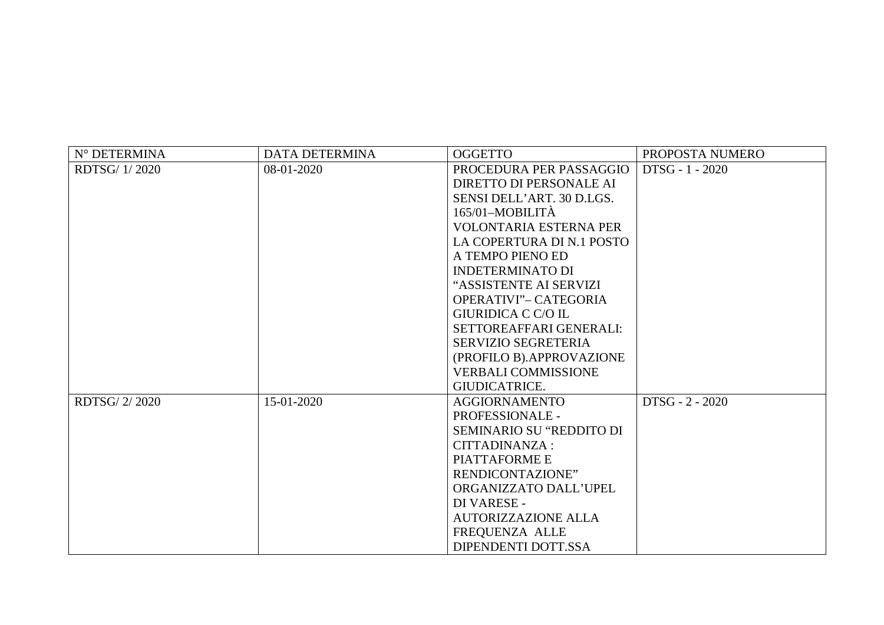| N° DETERMINA  | <b>DATA DETERMINA</b> | <b>OGGETTO</b>                  | PROPOSTA NUMERO |
|---------------|-----------------------|---------------------------------|-----------------|
| RDTSG/1/2020  | 08-01-2020            | PROCEDURA PER PASSAGGIO         | DTSG - 1 - 2020 |
|               |                       | DIRETTO DI PERSONALE AI         |                 |
|               |                       | SENSI DELL'ART. 30 D.LGS.       |                 |
|               |                       | $165/01-MOBILITA$               |                 |
|               |                       | <b>VOLONTARIA ESTERNA PER</b>   |                 |
|               |                       | LA COPERTURA DI N.1 POSTO       |                 |
|               |                       | A TEMPO PIENO ED                |                 |
|               |                       | <b>INDETERMINATO DI</b>         |                 |
|               |                       | "ASSISTENTE AI SERVIZI          |                 |
|               |                       | OPERATIVI"- CATEGORIA           |                 |
|               |                       | <b>GIURIDICA C C/O IL</b>       |                 |
|               |                       | SETTOREAFFARI GENERALI:         |                 |
|               |                       | <b>SERVIZIO SEGRETERIA</b>      |                 |
|               |                       | (PROFILO B).APPROVAZIONE        |                 |
|               |                       | <b>VERBALI COMMISSIONE</b>      |                 |
|               |                       | <b>GIUDICATRICE.</b>            |                 |
| RDTSG/ 2/2020 | 15-01-2020            | <b>AGGIORNAMENTO</b>            | DTSG - 2 - 2020 |
|               |                       | <b>PROFESSIONALE -</b>          |                 |
|               |                       | <b>SEMINARIO SU "REDDITO DI</b> |                 |
|               |                       | CITTADINANZA :                  |                 |
|               |                       | PIATTAFORME E                   |                 |
|               |                       | RENDICONTAZIONE"                |                 |
|               |                       | ORGANIZZATO DALL'UPEL           |                 |
|               |                       | DI VARESE -                     |                 |
|               |                       | <b>AUTORIZZAZIONE ALLA</b>      |                 |
|               |                       | FREQUENZA ALLE                  |                 |
|               |                       | DIPENDENTI DOTT.SSA             |                 |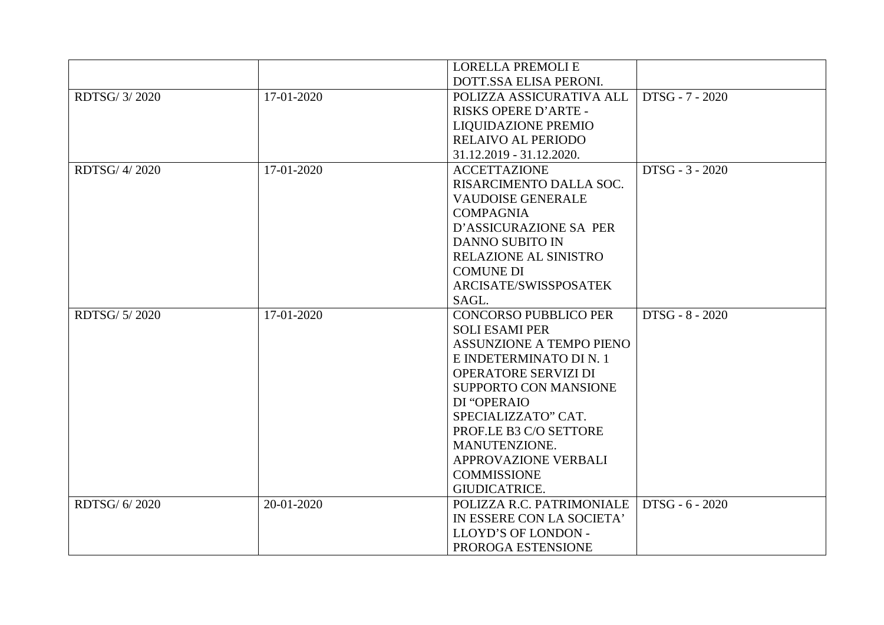|               |            | <b>LORELLA PREMOLIE</b>      |                 |
|---------------|------------|------------------------------|-----------------|
|               |            | DOTT.SSA ELISA PERONI.       |                 |
| RDTSG/ 3/2020 | 17-01-2020 | POLIZZA ASSICURATIVA ALL     | DTSG - 7 - 2020 |
|               |            | RISKS OPERE D'ARTE -         |                 |
|               |            | LIQUIDAZIONE PREMIO          |                 |
|               |            | <b>RELAIVO AL PERIODO</b>    |                 |
|               |            | 31.12.2019 - 31.12.2020.     |                 |
| RDTSG/ 4/2020 | 17-01-2020 | <b>ACCETTAZIONE</b>          | DTSG - 3 - 2020 |
|               |            | RISARCIMENTO DALLA SOC.      |                 |
|               |            | <b>VAUDOISE GENERALE</b>     |                 |
|               |            | <b>COMPAGNIA</b>             |                 |
|               |            | D'ASSICURAZIONE SA PER       |                 |
|               |            | <b>DANNO SUBITO IN</b>       |                 |
|               |            | RELAZIONE AL SINISTRO        |                 |
|               |            | <b>COMUNE DI</b>             |                 |
|               |            | ARCISATE/SWISSPOSATEK        |                 |
|               |            | SAGL.                        |                 |
| RDTSG/ 5/2020 | 17-01-2020 | <b>CONCORSO PUBBLICO PER</b> | DTSG - 8 - 2020 |
|               |            | <b>SOLI ESAMI PER</b>        |                 |
|               |            | ASSUNZIONE A TEMPO PIENO     |                 |
|               |            | E INDETERMINATO DI N. 1      |                 |
|               |            | OPERATORE SERVIZI DI         |                 |
|               |            | SUPPORTO CON MANSIONE        |                 |
|               |            | DI "OPERAIO                  |                 |
|               |            | SPECIALIZZATO" CAT.          |                 |
|               |            | PROF.LE B3 C/O SETTORE       |                 |
|               |            | MANUTENZIONE.                |                 |
|               |            | APPROVAZIONE VERBALI         |                 |
|               |            | <b>COMMISSIONE</b>           |                 |
|               |            | GIUDICATRICE.                |                 |
| RDTSG/ 6/2020 | 20-01-2020 | POLIZZA R.C. PATRIMONIALE    | DTSG - 6 - 2020 |
|               |            | IN ESSERE CON LA SOCIETA'    |                 |
|               |            | LLOYD'S OF LONDON -          |                 |
|               |            | PROROGA ESTENSIONE           |                 |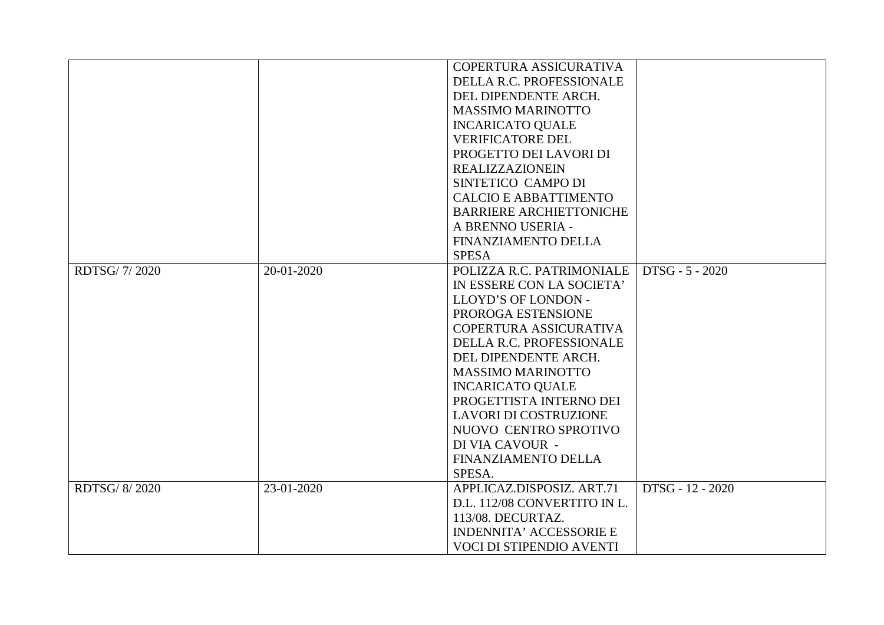|               |            | COPERTURA ASSICURATIVA         |                  |
|---------------|------------|--------------------------------|------------------|
|               |            | DELLA R.C. PROFESSIONALE       |                  |
|               |            | DEL DIPENDENTE ARCH.           |                  |
|               |            | <b>MASSIMO MARINOTTO</b>       |                  |
|               |            | <b>INCARICATO QUALE</b>        |                  |
|               |            | <b>VERIFICATORE DEL</b>        |                  |
|               |            | PROGETTO DEI LAVORI DI         |                  |
|               |            | <b>REALIZZAZIONEIN</b>         |                  |
|               |            | SINTETICO CAMPO DI             |                  |
|               |            | <b>CALCIO E ABBATTIMENTO</b>   |                  |
|               |            | <b>BARRIERE ARCHIETTONICHE</b> |                  |
|               |            | A BRENNO USERIA -              |                  |
|               |            | FINANZIAMENTO DELLA            |                  |
|               |            | <b>SPESA</b>                   |                  |
| RDTSG/7/2020  | 20-01-2020 | POLIZZA R.C. PATRIMONIALE      | DTSG - 5 - 2020  |
|               |            | IN ESSERE CON LA SOCIETA'      |                  |
|               |            | LLOYD'S OF LONDON -            |                  |
|               |            | PROROGA ESTENSIONE             |                  |
|               |            | COPERTURA ASSICURATIVA         |                  |
|               |            | DELLA R.C. PROFESSIONALE       |                  |
|               |            | DEL DIPENDENTE ARCH.           |                  |
|               |            | <b>MASSIMO MARINOTTO</b>       |                  |
|               |            | <b>INCARICATO QUALE</b>        |                  |
|               |            | PROGETTISTA INTERNO DEI        |                  |
|               |            | <b>LAVORI DI COSTRUZIONE</b>   |                  |
|               |            | NUOVO CENTRO SPROTIVO          |                  |
|               |            | DI VIA CAVOUR -                |                  |
|               |            | FINANZIAMENTO DELLA            |                  |
|               |            | SPESA.                         |                  |
| RDTSG/ 8/2020 | 23-01-2020 | APPLICAZ.DISPOSIZ. ART.71      | DTSG - 12 - 2020 |
|               |            | D.L. 112/08 CONVERTITO IN L.   |                  |
|               |            | 113/08. DECURTAZ.              |                  |
|               |            | <b>INDENNITA' ACCESSORIE E</b> |                  |
|               |            | VOCI DI STIPENDIO AVENTI       |                  |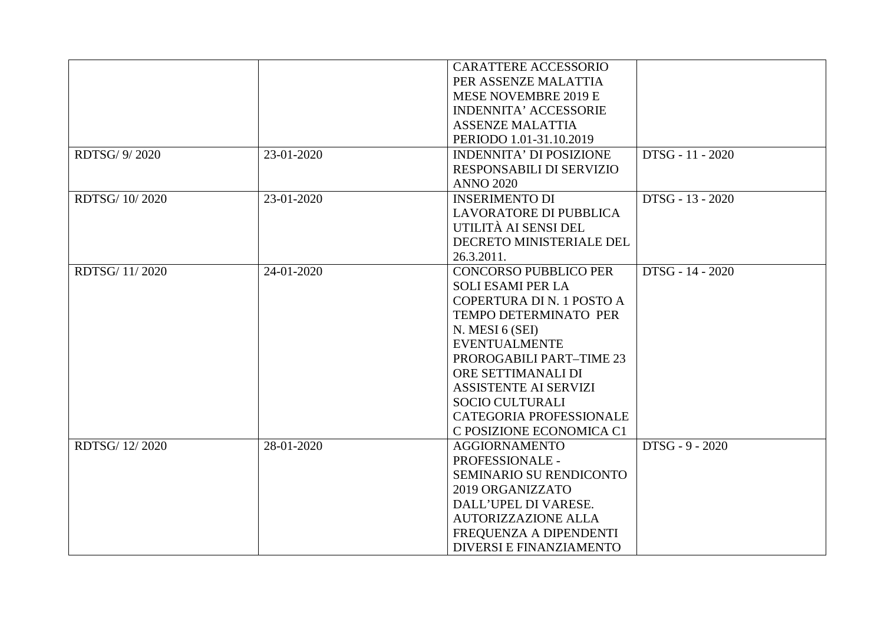|                |            | <b>CARATTERE ACCESSORIO</b>    |                  |
|----------------|------------|--------------------------------|------------------|
|                |            | PER ASSENZE MALATTIA           |                  |
|                |            | MESE NOVEMBRE 2019 E           |                  |
|                |            | <b>INDENNITA' ACCESSORIE</b>   |                  |
|                |            | <b>ASSENZE MALATTIA</b>        |                  |
|                |            | PERIODO 1.01-31.10.2019        |                  |
| RDTSG/ 9/2020  | 23-01-2020 | <b>INDENNITA' DI POSIZIONE</b> | DTSG - 11 - 2020 |
|                |            | RESPONSABILI DI SERVIZIO       |                  |
|                |            | <b>ANNO 2020</b>               |                  |
| RDTSG/ 10/2020 | 23-01-2020 | <b>INSERIMENTO DI</b>          | DTSG - 13 - 2020 |
|                |            | <b>LAVORATORE DI PUBBLICA</b>  |                  |
|                |            | UTILITÀ AI SENSI DEL           |                  |
|                |            | DECRETO MINISTERIALE DEL       |                  |
|                |            | 26.3.2011.                     |                  |
| RDTSG/11/2020  | 24-01-2020 | <b>CONCORSO PUBBLICO PER</b>   | DTSG - 14 - 2020 |
|                |            | <b>SOLI ESAMI PER LA</b>       |                  |
|                |            | COPERTURA DI N. 1 POSTO A      |                  |
|                |            | TEMPO DETERMINATO PER          |                  |
|                |            | N. MESI 6 (SEI)                |                  |
|                |            | <b>EVENTUALMENTE</b>           |                  |
|                |            | PROROGABILI PART-TIME 23       |                  |
|                |            | ORE SETTIMANALI DI             |                  |
|                |            | <b>ASSISTENTE AI SERVIZI</b>   |                  |
|                |            | <b>SOCIO CULTURALI</b>         |                  |
|                |            | CATEGORIA PROFESSIONALE        |                  |
|                |            | C POSIZIONE ECONOMICA C1       |                  |
| RDTSG/12/2020  | 28-01-2020 | <b>AGGIORNAMENTO</b>           | DTSG - 9 - 2020  |
|                |            | PROFESSIONALE -                |                  |
|                |            | SEMINARIO SU RENDICONTO        |                  |
|                |            | 2019 ORGANIZZATO               |                  |
|                |            | DALL'UPEL DI VARESE.           |                  |
|                |            | <b>AUTORIZZAZIONE ALLA</b>     |                  |
|                |            | FREQUENZA A DIPENDENTI         |                  |
|                |            | DIVERSI E FINANZIAMENTO        |                  |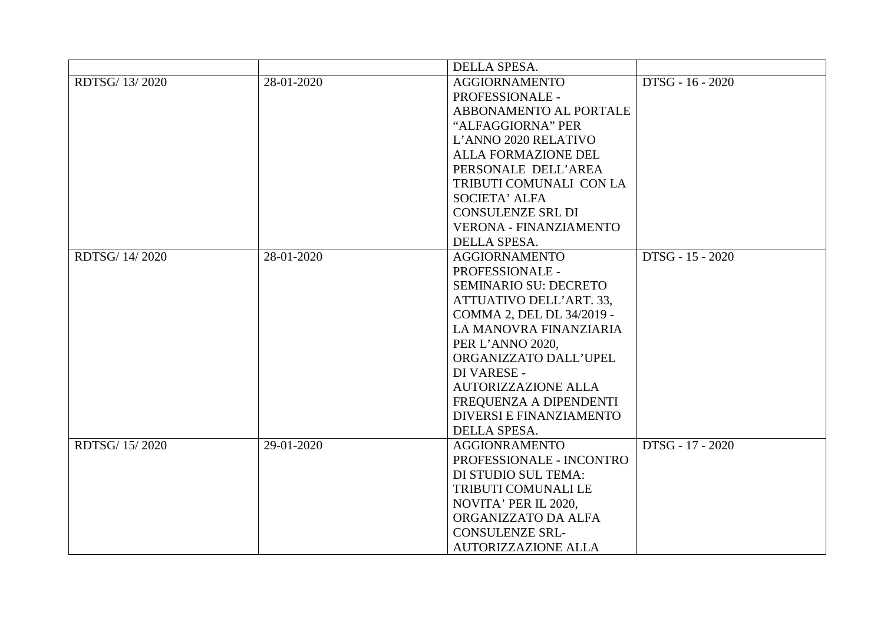|                |            | DELLA SPESA.                  |                  |
|----------------|------------|-------------------------------|------------------|
| RDTSG/ 13/2020 | 28-01-2020 | <b>AGGIORNAMENTO</b>          | DTSG - 16 - 2020 |
|                |            | PROFESSIONALE -               |                  |
|                |            | ABBONAMENTO AL PORTALE        |                  |
|                |            | "ALFAGGIORNA" PER             |                  |
|                |            | L'ANNO 2020 RELATIVO          |                  |
|                |            | ALLA FORMAZIONE DEL           |                  |
|                |            | PERSONALE DELL'AREA           |                  |
|                |            | TRIBUTI COMUNALI CON LA       |                  |
|                |            | <b>SOCIETA' ALFA</b>          |                  |
|                |            | <b>CONSULENZE SRL DI</b>      |                  |
|                |            | <b>VERONA - FINANZIAMENTO</b> |                  |
|                |            | DELLA SPESA.                  |                  |
| RDTSG/ 14/2020 | 28-01-2020 | <b>AGGIORNAMENTO</b>          | DTSG - 15 - 2020 |
|                |            | PROFESSIONALE -               |                  |
|                |            | <b>SEMINARIO SU: DECRETO</b>  |                  |
|                |            | ATTUATIVO DELL'ART. 33,       |                  |
|                |            | COMMA 2, DEL DL 34/2019 -     |                  |
|                |            | LA MANOVRA FINANZIARIA        |                  |
|                |            | PER L'ANNO 2020,              |                  |
|                |            | ORGANIZZATO DALL'UPEL         |                  |
|                |            | DI VARESE -                   |                  |
|                |            | <b>AUTORIZZAZIONE ALLA</b>    |                  |
|                |            | FREQUENZA A DIPENDENTI        |                  |
|                |            | DIVERSI E FINANZIAMENTO       |                  |
|                |            | DELLA SPESA.                  |                  |
| RDTSG/15/2020  | 29-01-2020 | <b>AGGIONRAMENTO</b>          | DTSG - 17 - 2020 |
|                |            | PROFESSIONALE - INCONTRO      |                  |
|                |            | DI STUDIO SUL TEMA:           |                  |
|                |            | TRIBUTI COMUNALI LE           |                  |
|                |            | NOVITA' PER IL 2020,          |                  |
|                |            | ORGANIZZATO DA ALFA           |                  |
|                |            | <b>CONSULENZE SRL-</b>        |                  |
|                |            | <b>AUTORIZZAZIONE ALLA</b>    |                  |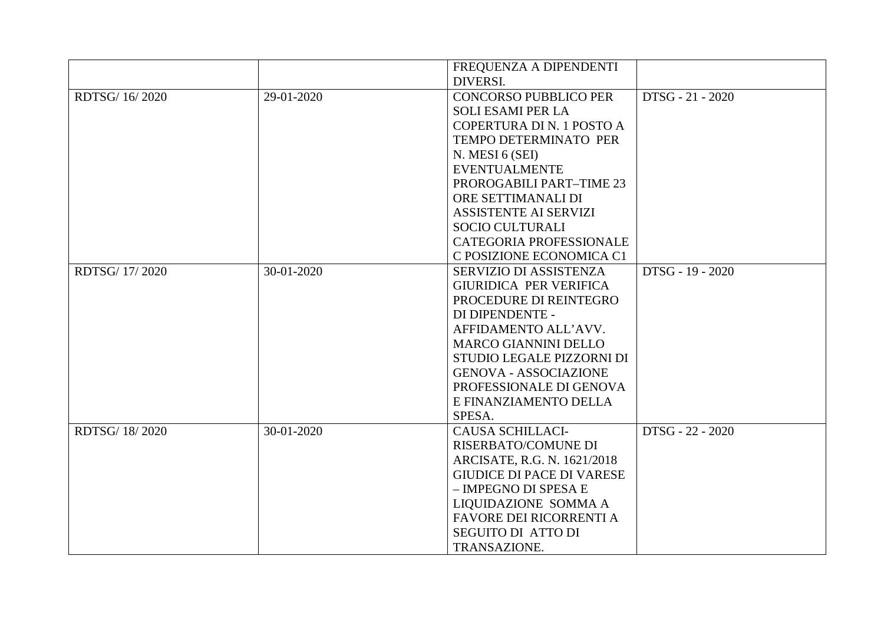|                |            | FREQUENZA A DIPENDENTI           |                  |
|----------------|------------|----------------------------------|------------------|
|                |            | DIVERSI.                         |                  |
| RDTSG/ 16/2020 | 29-01-2020 | <b>CONCORSO PUBBLICO PER</b>     | DTSG - 21 - 2020 |
|                |            | <b>SOLI ESAMI PER LA</b>         |                  |
|                |            | COPERTURA DI N. 1 POSTO A        |                  |
|                |            | TEMPO DETERMINATO PER            |                  |
|                |            | N. MESI 6 (SEI)                  |                  |
|                |            | <b>EVENTUALMENTE</b>             |                  |
|                |            | PROROGABILI PART-TIME 23         |                  |
|                |            | ORE SETTIMANALI DI               |                  |
|                |            | <b>ASSISTENTE AI SERVIZI</b>     |                  |
|                |            | <b>SOCIO CULTURALI</b>           |                  |
|                |            | CATEGORIA PROFESSIONALE          |                  |
|                |            | C POSIZIONE ECONOMICA C1         |                  |
| RDTSG/ 17/2020 | 30-01-2020 | SERVIZIO DI ASSISTENZA           | DTSG - 19 - 2020 |
|                |            | GIURIDICA PER VERIFICA           |                  |
|                |            | PROCEDURE DI REINTEGRO           |                  |
|                |            | DI DIPENDENTE -                  |                  |
|                |            | AFFIDAMENTO ALL'AVV.             |                  |
|                |            | <b>MARCO GIANNINI DELLO</b>      |                  |
|                |            | STUDIO LEGALE PIZZORNI DI        |                  |
|                |            | <b>GENOVA - ASSOCIAZIONE</b>     |                  |
|                |            | PROFESSIONALE DI GENOVA          |                  |
|                |            | E FINANZIAMENTO DELLA            |                  |
|                |            | SPESA.                           |                  |
| RDTSG/ 18/2020 | 30-01-2020 | <b>CAUSA SCHILLACI-</b>          | DTSG - 22 - 2020 |
|                |            | RISERBATO/COMUNE DI              |                  |
|                |            | ARCISATE, R.G. N. 1621/2018      |                  |
|                |            | <b>GIUDICE DI PACE DI VARESE</b> |                  |
|                |            | - IMPEGNO DI SPESA E             |                  |
|                |            | LIQUIDAZIONE SOMMA A             |                  |
|                |            | <b>FAVORE DEI RICORRENTI A</b>   |                  |
|                |            | <b>SEGUITO DI ATTO DI</b>        |                  |
|                |            | TRANSAZIONE.                     |                  |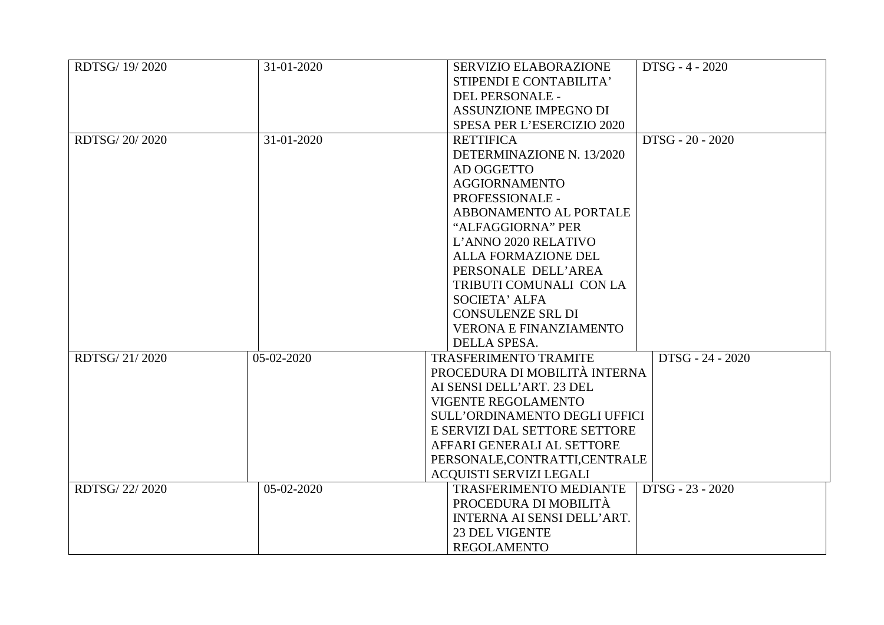| RDTSG/ 19/2020 | 31-01-2020 | DTSG - 4 - 2020<br>SERVIZIO ELABORAZIONE          |
|----------------|------------|---------------------------------------------------|
|                |            | STIPENDI E CONTABILITA'                           |
|                |            | DEL PERSONALE -                                   |
|                |            | <b>ASSUNZIONE IMPEGNO DI</b>                      |
|                |            | SPESA PER L'ESERCIZIO 2020                        |
| RDTSG/20/2020  | 31-01-2020 | DTSG - 20 - 2020<br><b>RETTIFICA</b>              |
|                |            | DETERMINAZIONE N. 13/2020                         |
|                |            | AD OGGETTO                                        |
|                |            | <b>AGGIORNAMENTO</b>                              |
|                |            | PROFESSIONALE -                                   |
|                |            | ABBONAMENTO AL PORTALE                            |
|                |            | "ALFAGGIORNA" PER                                 |
|                |            | L'ANNO 2020 RELATIVO                              |
|                |            | <b>ALLA FORMAZIONE DEL</b>                        |
|                |            | PERSONALE DELL'AREA                               |
|                |            | TRIBUTI COMUNALI CON LA                           |
|                |            | <b>SOCIETA' ALFA</b>                              |
|                |            | <b>CONSULENZE SRL DI</b>                          |
|                |            | <b>VERONA E FINANZIAMENTO</b>                     |
|                |            | DELLA SPESA.                                      |
| RDTSG/21/2020  | 05-02-2020 | <b>TRASFERIMENTO TRAMITE</b><br>DTSG - 24 - 2020  |
|                |            | PROCEDURA DI MOBILITÀ INTERNA                     |
|                |            | AI SENSI DELL'ART. 23 DEL                         |
|                |            | VIGENTE REGOLAMENTO                               |
|                |            | <b>SULL'ORDINAMENTO DEGLI UFFICI</b>              |
|                |            | E SERVIZI DAL SETTORE SETTORE                     |
|                |            | AFFARI GENERALI AL SETTORE                        |
|                |            | PERSONALE, CONTRATTI, CENTRALE                    |
|                |            | <b>ACQUISTI SERVIZI LEGALI</b>                    |
| RDTSG/22/2020  | 05-02-2020 | DTSG - 23 - 2020<br><b>TRASFERIMENTO MEDIANTE</b> |
|                |            | PROCEDURA DI MOBILITÀ                             |
|                |            | INTERNA AI SENSI DELL'ART.                        |
|                |            | <b>23 DEL VIGENTE</b>                             |
|                |            | <b>REGOLAMENTO</b>                                |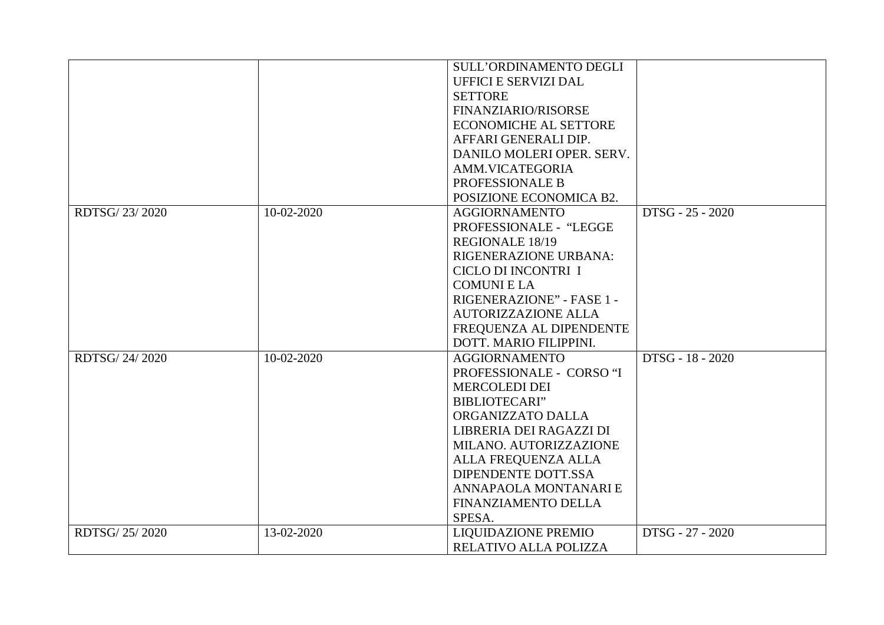|               |            | SULL'ORDINAMENTO DEGLI       |                  |
|---------------|------------|------------------------------|------------------|
|               |            | <b>UFFICI E SERVIZI DAL</b>  |                  |
|               |            | <b>SETTORE</b>               |                  |
|               |            | FINANZIARIO/RISORSE          |                  |
|               |            | <b>ECONOMICHE AL SETTORE</b> |                  |
|               |            | AFFARI GENERALI DIP.         |                  |
|               |            | DANILO MOLERI OPER. SERV.    |                  |
|               |            | AMM.VICATEGORIA              |                  |
|               |            | PROFESSIONALE B              |                  |
|               |            | POSIZIONE ECONOMICA B2.      |                  |
| RDTSG/23/2020 | 10-02-2020 | <b>AGGIORNAMENTO</b>         | DTSG - 25 - 2020 |
|               |            | PROFESSIONALE - "LEGGE       |                  |
|               |            | <b>REGIONALE 18/19</b>       |                  |
|               |            | RIGENERAZIONE URBANA:        |                  |
|               |            | CICLO DI INCONTRI I          |                  |
|               |            | <b>COMUNIELA</b>             |                  |
|               |            | RIGENERAZIONE" - FASE 1 -    |                  |
|               |            | <b>AUTORIZZAZIONE ALLA</b>   |                  |
|               |            | FREQUENZA AL DIPENDENTE      |                  |
|               |            | DOTT. MARIO FILIPPINI.       |                  |
| RDTSG/24/2020 | 10-02-2020 | <b>AGGIORNAMENTO</b>         | DTSG - 18 - 2020 |
|               |            | PROFESSIONALE - CORSO "I     |                  |
|               |            | <b>MERCOLEDI DEI</b>         |                  |
|               |            | <b>BIBLIOTECARI"</b>         |                  |
|               |            | ORGANIZZATO DALLA            |                  |
|               |            | LIBRERIA DEI RAGAZZI DI      |                  |
|               |            | MILANO. AUTORIZZAZIONE       |                  |
|               |            | ALLA FREQUENZA ALLA          |                  |
|               |            | <b>DIPENDENTE DOTT.SSA</b>   |                  |
|               |            | ANNAPAOLA MONTANARI E        |                  |
|               |            | FINANZIAMENTO DELLA          |                  |
|               |            | SPESA.                       |                  |
| RDTSG/25/2020 | 13-02-2020 | <b>LIQUIDAZIONE PREMIO</b>   | DTSG - 27 - 2020 |
|               |            | RELATIVO ALLA POLIZZA        |                  |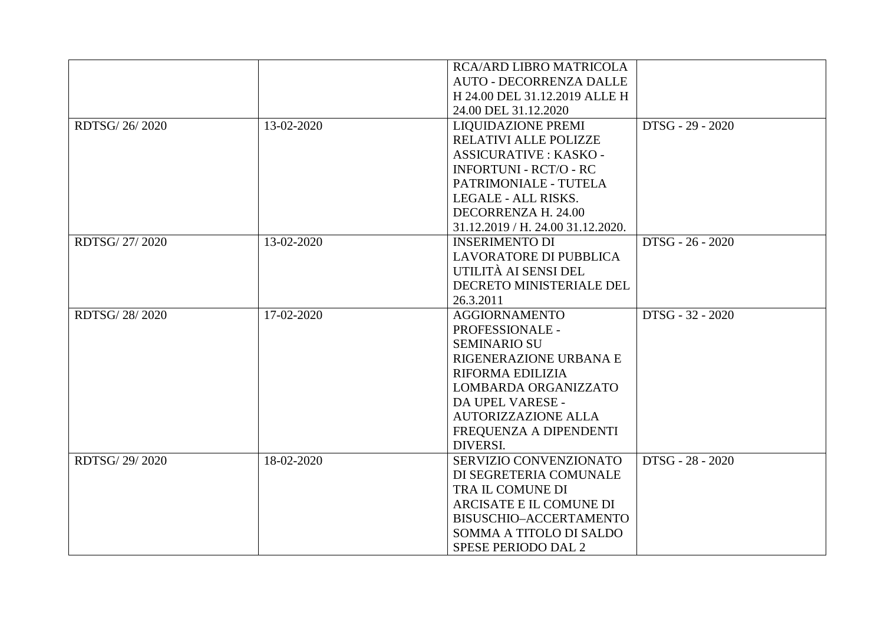|               |            | <b>RCA/ARD LIBRO MATRICOLA</b>    |                  |
|---------------|------------|-----------------------------------|------------------|
|               |            | <b>AUTO - DECORRENZA DALLE</b>    |                  |
|               |            | H 24.00 DEL 31.12.2019 ALLE H     |                  |
|               |            | 24.00 DEL 31.12.2020              |                  |
| RDTSG/26/2020 | 13-02-2020 | LIQUIDAZIONE PREMI                | DTSG - 29 - 2020 |
|               |            | RELATIVI ALLE POLIZZE             |                  |
|               |            | <b>ASSICURATIVE : KASKO -</b>     |                  |
|               |            | <b>INFORTUNI - RCT/O - RC</b>     |                  |
|               |            | PATRIMONIALE - TUTELA             |                  |
|               |            | LEGALE - ALL RISKS.               |                  |
|               |            | DECORRENZA H. 24.00               |                  |
|               |            | 31.12.2019 / H. 24.00 31.12.2020. |                  |
| RDTSG/27/2020 | 13-02-2020 | <b>INSERIMENTO DI</b>             | DTSG - 26 - 2020 |
|               |            | <b>LAVORATORE DI PUBBLICA</b>     |                  |
|               |            | UTILITÀ AI SENSI DEL              |                  |
|               |            | DECRETO MINISTERIALE DEL          |                  |
|               |            | 26.3.2011                         |                  |
| RDTSG/28/2020 | 17-02-2020 | <b>AGGIORNAMENTO</b>              | DTSG - 32 - 2020 |
|               |            | PROFESSIONALE -                   |                  |
|               |            | <b>SEMINARIO SU</b>               |                  |
|               |            | RIGENERAZIONE URBANA E            |                  |
|               |            | RIFORMA EDILIZIA                  |                  |
|               |            | LOMBARDA ORGANIZZATO              |                  |
|               |            | DA UPEL VARESE -                  |                  |
|               |            | <b>AUTORIZZAZIONE ALLA</b>        |                  |
|               |            | FREQUENZA A DIPENDENTI            |                  |
|               |            | DIVERSI.                          |                  |
| RDTSG/29/2020 | 18-02-2020 | SERVIZIO CONVENZIONATO            | DTSG - 28 - 2020 |
|               |            | DI SEGRETERIA COMUNALE            |                  |
|               |            | TRA IL COMUNE DI                  |                  |
|               |            | ARCISATE E IL COMUNE DI           |                  |
|               |            | BISUSCHIO-ACCERTAMENTO            |                  |
|               |            | SOMMA A TITOLO DI SALDO           |                  |
|               |            | SPESE PERIODO DAL 2               |                  |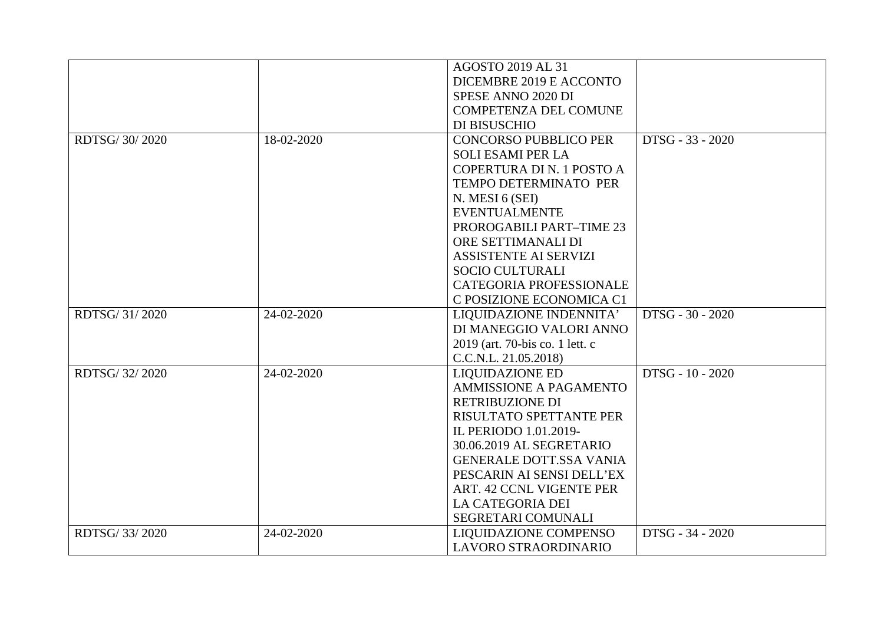|               |            | <b>AGOSTO 2019 AL 31</b>        |                  |
|---------------|------------|---------------------------------|------------------|
|               |            | DICEMBRE 2019 E ACCONTO         |                  |
|               |            | SPESE ANNO 2020 DI              |                  |
|               |            | <b>COMPETENZA DEL COMUNE</b>    |                  |
|               |            | DI BISUSCHIO                    |                  |
| RDTSG/30/2020 | 18-02-2020 | <b>CONCORSO PUBBLICO PER</b>    | DTSG - 33 - 2020 |
|               |            | <b>SOLI ESAMI PER LA</b>        |                  |
|               |            | COPERTURA DI N. 1 POSTO A       |                  |
|               |            | TEMPO DETERMINATO PER           |                  |
|               |            | N. MESI 6 (SEI)                 |                  |
|               |            | <b>EVENTUALMENTE</b>            |                  |
|               |            | PROROGABILI PART-TIME 23        |                  |
|               |            | ORE SETTIMANALI DI              |                  |
|               |            | <b>ASSISTENTE AI SERVIZI</b>    |                  |
|               |            | <b>SOCIO CULTURALI</b>          |                  |
|               |            | <b>CATEGORIA PROFESSIONALE</b>  |                  |
|               |            | C POSIZIONE ECONOMICA C1        |                  |
| RDTSG/31/2020 | 24-02-2020 | LIQUIDAZIONE INDENNITA'         | DTSG - 30 - 2020 |
|               |            | DI MANEGGIO VALORI ANNO         |                  |
|               |            | 2019 (art. 70-bis co. 1 lett. c |                  |
|               |            | C.C.N.L. 21.05.2018)            |                  |
| RDTSG/32/2020 | 24-02-2020 | <b>LIQUIDAZIONE ED</b>          | DTSG - 10 - 2020 |
|               |            | <b>AMMISSIONE A PAGAMENTO</b>   |                  |
|               |            | RETRIBUZIONE DI                 |                  |
|               |            | RISULTATO SPETTANTE PER         |                  |
|               |            | IL PERIODO 1.01.2019-           |                  |
|               |            | 30.06.2019 AL SEGRETARIO        |                  |
|               |            | <b>GENERALE DOTT.SSA VANIA</b>  |                  |
|               |            | PESCARIN AI SENSI DELL'EX       |                  |
|               |            | ART. 42 CCNL VIGENTE PER        |                  |
|               |            | LA CATEGORIA DEI                |                  |
|               |            | SEGRETARI COMUNALI              |                  |
| RDTSG/33/2020 | 24-02-2020 | <b>LIQUIDAZIONE COMPENSO</b>    | DTSG - 34 - 2020 |
|               |            | LAVORO STRAORDINARIO            |                  |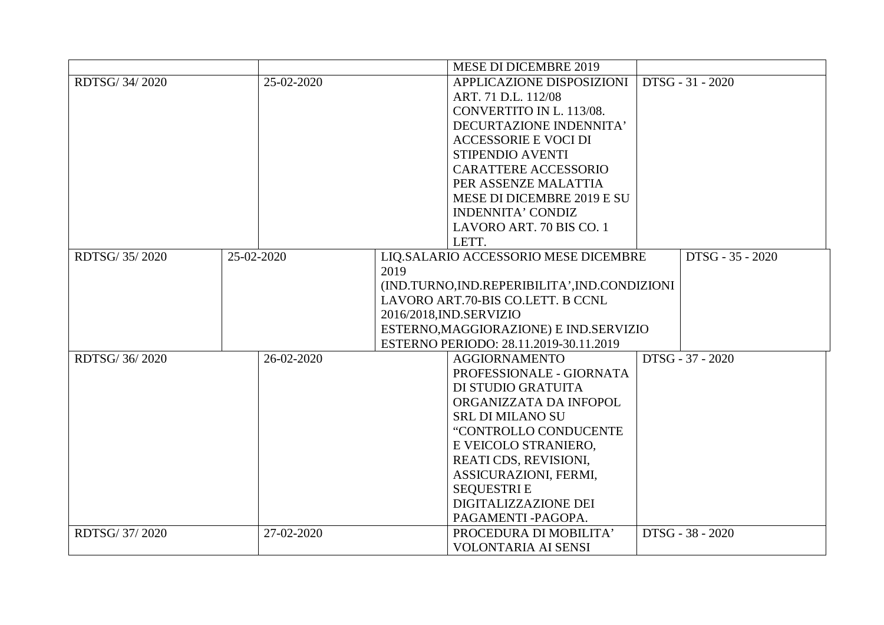|                |            | <b>MESE DI DICEMBRE 2019</b>                   |                  |
|----------------|------------|------------------------------------------------|------------------|
| RDTSG/34/2020  | 25-02-2020 | APPLICAZIONE DISPOSIZIONI                      | DTSG - 31 - 2020 |
|                |            | ART. 71 D.L. 112/08                            |                  |
|                |            | CONVERTITO IN L. 113/08.                       |                  |
|                |            | DECURTAZIONE INDENNITA'                        |                  |
|                |            | <b>ACCESSORIE E VOCI DI</b>                    |                  |
|                |            | STIPENDIO AVENTI                               |                  |
|                |            | <b>CARATTERE ACCESSORIO</b>                    |                  |
|                |            | PER ASSENZE MALATTIA                           |                  |
|                |            | MESE DI DICEMBRE 2019 E SU                     |                  |
|                |            | <b>INDENNITA' CONDIZ</b>                       |                  |
|                |            | LAVORO ART. 70 BIS CO. 1                       |                  |
|                |            | LETT.                                          |                  |
| RDTSG/35/2020  | 25-02-2020 | LIQ.SALARIO ACCESSORIO MESE DICEMBRE           | DTSG - 35 - 2020 |
|                |            | 2019                                           |                  |
|                |            | (IND.TURNO, IND.REPERIBILITA', IND.CONDIZIONI  |                  |
|                |            | LAVORO ART.70-BIS CO.LETT. B CCNL              |                  |
|                |            | 2016/2018, IND. SERVIZIO                       |                  |
|                |            | ESTERNO, MAGGIORAZIONE) E IND. SERVIZIO        |                  |
|                |            | ESTERNO PERIODO: 28.11.2019-30.11.2019         |                  |
| RDTSG/36/2020  | 26-02-2020 | <b>AGGIORNAMENTO</b>                           | DTSG - 37 - 2020 |
|                |            | PROFESSIONALE - GIORNATA                       |                  |
|                |            | DI STUDIO GRATUITA                             |                  |
|                |            | ORGANIZZATA DA INFOPOL                         |                  |
|                |            | <b>SRL DI MILANO SU</b>                        |                  |
|                |            | "CONTROLLO CONDUCENTE                          |                  |
|                |            | E VEICOLO STRANIERO,                           |                  |
|                |            | REATI CDS, REVISIONI,<br>ASSICURAZIONI, FERMI, |                  |
|                |            | <b>SEQUESTRIE</b>                              |                  |
|                |            | DIGITALIZZAZIONE DEI                           |                  |
|                |            | PAGAMENTI-PAGOPA.                              |                  |
|                |            |                                                |                  |
| RDTSG/ 37/2020 | 27-02-2020 | PROCEDURA DI MOBILITA'                         | DTSG - 38 - 2020 |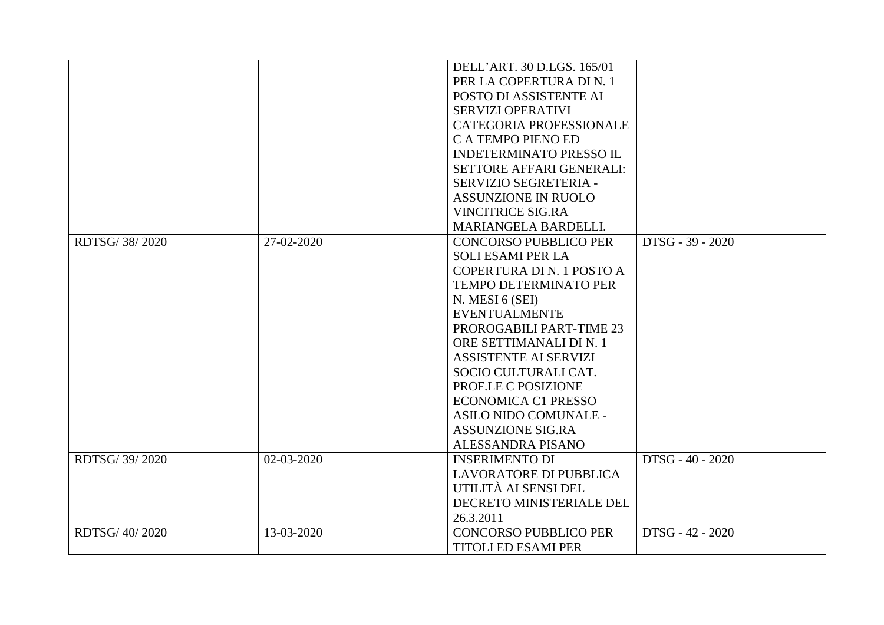| DELL'ART. 30 D.LGS. 165/01<br>PER LA COPERTURA DI N. 1<br>POSTO DI ASSISTENTE AI |
|----------------------------------------------------------------------------------|
|                                                                                  |
|                                                                                  |
|                                                                                  |
| SERVIZI OPERATIVI                                                                |
| CATEGORIA PROFESSIONALE                                                          |
| C A TEMPO PIENO ED                                                               |
| <b>INDETERMINATO PRESSO IL</b>                                                   |
| <b>SETTORE AFFARI GENERALI:</b>                                                  |
| SERVIZIO SEGRETERIA -                                                            |
| <b>ASSUNZIONE IN RUOLO</b>                                                       |
| <b>VINCITRICE SIG.RA</b>                                                         |
| MARIANGELA BARDELLI.                                                             |
| DTSG - 39 - 2020<br>RDTSG/38/2020<br>27-02-2020<br><b>CONCORSO PUBBLICO PER</b>  |
| <b>SOLI ESAMI PER LA</b>                                                         |
| COPERTURA DI N. 1 POSTO A                                                        |
| <b>TEMPO DETERMINATO PER</b>                                                     |
| N. MESI 6 (SEI)                                                                  |
| <b>EVENTUALMENTE</b>                                                             |
| PROROGABILI PART-TIME 23                                                         |
| ORE SETTIMANALI DI N. 1                                                          |
| <b>ASSISTENTE AI SERVIZI</b>                                                     |
| SOCIO CULTURALI CAT.                                                             |
| PROF.LE C POSIZIONE                                                              |
| <b>ECONOMICA C1 PRESSO</b>                                                       |
| ASILO NIDO COMUNALE -                                                            |
| <b>ASSUNZIONE SIG.RA</b>                                                         |
| ALESSANDRA PISANO                                                                |
| RDTSG/39/2020<br>02-03-2020<br><b>INSERIMENTO DI</b><br>DTSG - 40 - 2020         |
| <b>LAVORATORE DI PUBBLICA</b>                                                    |
| UTILITÀ AI SENSI DEL                                                             |
| DECRETO MINISTERIALE DEL                                                         |
| 26.3.2011                                                                        |
| RDTSG/40/2020<br><b>CONCORSO PUBBLICO PER</b><br>DTSG - 42 - 2020<br>13-03-2020  |
| <b>TITOLI ED ESAMI PER</b>                                                       |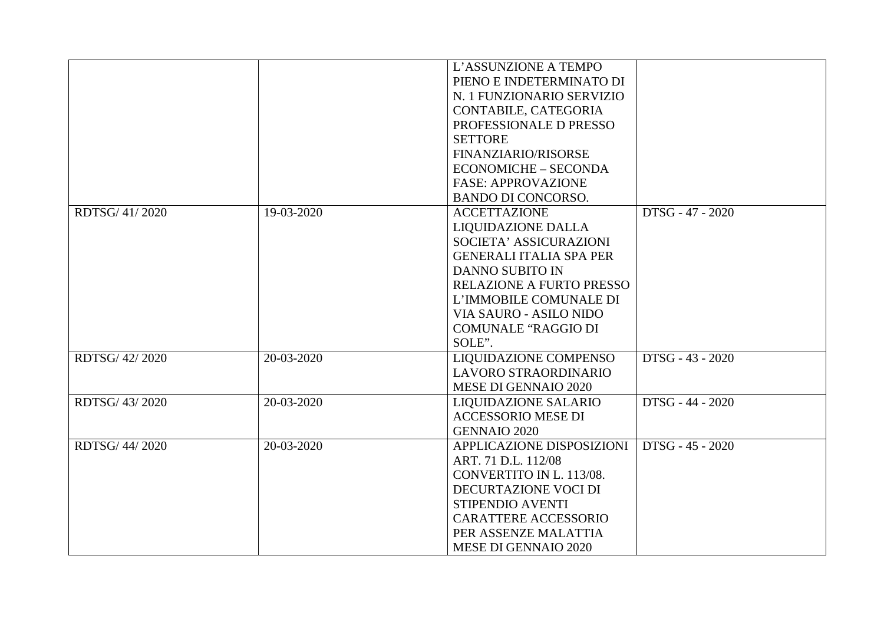|                |            | L'ASSUNZIONE A TEMPO           |                  |
|----------------|------------|--------------------------------|------------------|
|                |            | PIENO E INDETERMINATO DI       |                  |
|                |            | N. 1 FUNZIONARIO SERVIZIO      |                  |
|                |            | CONTABILE, CATEGORIA           |                  |
|                |            | PROFESSIONALE D PRESSO         |                  |
|                |            | <b>SETTORE</b>                 |                  |
|                |            | FINANZIARIO/RISORSE            |                  |
|                |            | <b>ECONOMICHE - SECONDA</b>    |                  |
|                |            | <b>FASE: APPROVAZIONE</b>      |                  |
|                |            | <b>BANDO DI CONCORSO.</b>      |                  |
| RDTSG/41/2020  | 19-03-2020 | <b>ACCETTAZIONE</b>            | DTSG - 47 - 2020 |
|                |            | <b>LIQUIDAZIONE DALLA</b>      |                  |
|                |            | SOCIETA' ASSICURAZIONI         |                  |
|                |            | <b>GENERALI ITALIA SPA PER</b> |                  |
|                |            | <b>DANNO SUBITO IN</b>         |                  |
|                |            | RELAZIONE A FURTO PRESSO       |                  |
|                |            | L'IMMOBILE COMUNALE DI         |                  |
|                |            | <b>VIA SAURO - ASILO NIDO</b>  |                  |
|                |            | <b>COMUNALE "RAGGIO DI</b>     |                  |
|                |            | SOLE".                         |                  |
| RDTSG/ 42/2020 | 20-03-2020 | LIQUIDAZIONE COMPENSO          | DTSG - 43 - 2020 |
|                |            | LAVORO STRAORDINARIO           |                  |
|                |            | <b>MESE DI GENNAIO 2020</b>    |                  |
| RDTSG/43/2020  | 20-03-2020 | <b>LIQUIDAZIONE SALARIO</b>    | DTSG - 44 - 2020 |
|                |            | <b>ACCESSORIO MESE DI</b>      |                  |
|                |            | <b>GENNAIO 2020</b>            |                  |
| RDTSG/44/2020  | 20-03-2020 | APPLICAZIONE DISPOSIZIONI      | DTSG - 45 - 2020 |
|                |            | ART. 71 D.L. 112/08            |                  |
|                |            | CONVERTITO IN L. 113/08.       |                  |
|                |            | DECURTAZIONE VOCI DI           |                  |
|                |            | STIPENDIO AVENTI               |                  |
|                |            | <b>CARATTERE ACCESSORIO</b>    |                  |
|                |            | PER ASSENZE MALATTIA           |                  |
|                |            | <b>MESE DI GENNAIO 2020</b>    |                  |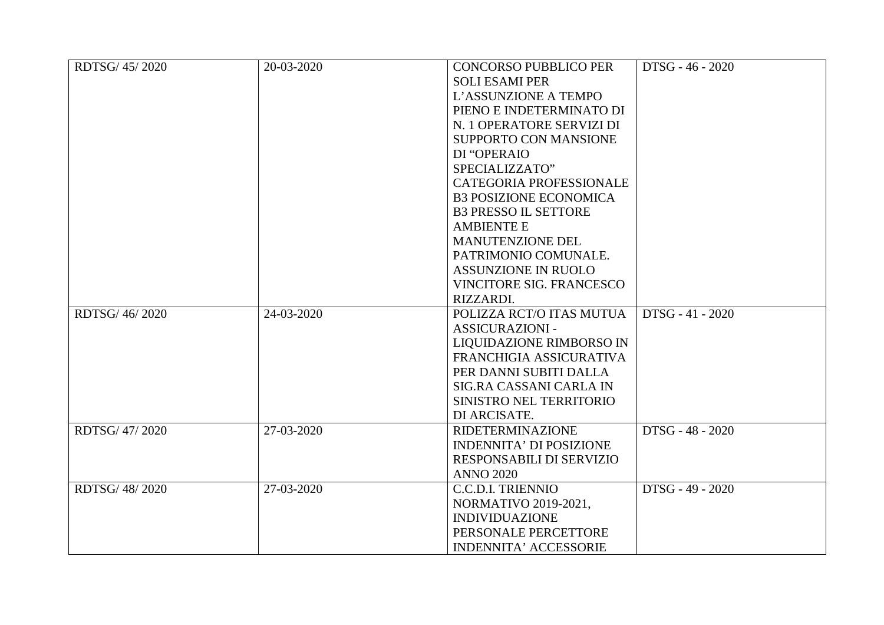| RDTSG/45/2020 | 20-03-2020 | <b>CONCORSO PUBBLICO PER</b>    | DTSG - 46 - 2020 |
|---------------|------------|---------------------------------|------------------|
|               |            | <b>SOLI ESAMI PER</b>           |                  |
|               |            | L'ASSUNZIONE A TEMPO            |                  |
|               |            | PIENO E INDETERMINATO DI        |                  |
|               |            | N. 1 OPERATORE SERVIZI DI       |                  |
|               |            | SUPPORTO CON MANSIONE           |                  |
|               |            | DI "OPERAIO                     |                  |
|               |            | SPECIALIZZATO"                  |                  |
|               |            | <b>CATEGORIA PROFESSIONALE</b>  |                  |
|               |            | <b>B3 POSIZIONE ECONOMICA</b>   |                  |
|               |            | <b>B3 PRESSO IL SETTORE</b>     |                  |
|               |            | <b>AMBIENTE E</b>               |                  |
|               |            | MANUTENZIONE DEL                |                  |
|               |            | PATRIMONIO COMUNALE.            |                  |
|               |            | <b>ASSUNZIONE IN RUOLO</b>      |                  |
|               |            | <b>VINCITORE SIG. FRANCESCO</b> |                  |
|               |            | RIZZARDI.                       |                  |
| RDTSG/46/2020 | 24-03-2020 | POLIZZA RCT/O ITAS MUTUA        | DTSG - 41 - 2020 |
|               |            | <b>ASSICURAZIONI -</b>          |                  |
|               |            | LIQUIDAZIONE RIMBORSO IN        |                  |
|               |            | FRANCHIGIA ASSICURATIVA         |                  |
|               |            | PER DANNI SUBITI DALLA          |                  |
|               |            | SIG.RA CASSANI CARLA IN         |                  |
|               |            | SINISTRO NEL TERRITORIO         |                  |
|               |            | DI ARCISATE.                    |                  |
| RDTSG/47/2020 | 27-03-2020 | <b>RIDETERMINAZIONE</b>         | DTSG - 48 - 2020 |
|               |            | <b>INDENNITA' DI POSIZIONE</b>  |                  |
|               |            | RESPONSABILI DI SERVIZIO        |                  |
|               |            | <b>ANNO 2020</b>                |                  |
| RDTSG/48/2020 | 27-03-2020 | <b>C.C.D.I. TRIENNIO</b>        | DTSG - 49 - 2020 |
|               |            | <b>NORMATIVO 2019-2021,</b>     |                  |
|               |            | <b>INDIVIDUAZIONE</b>           |                  |
|               |            | PERSONALE PERCETTORE            |                  |
|               |            | <b>INDENNITA' ACCESSORIE</b>    |                  |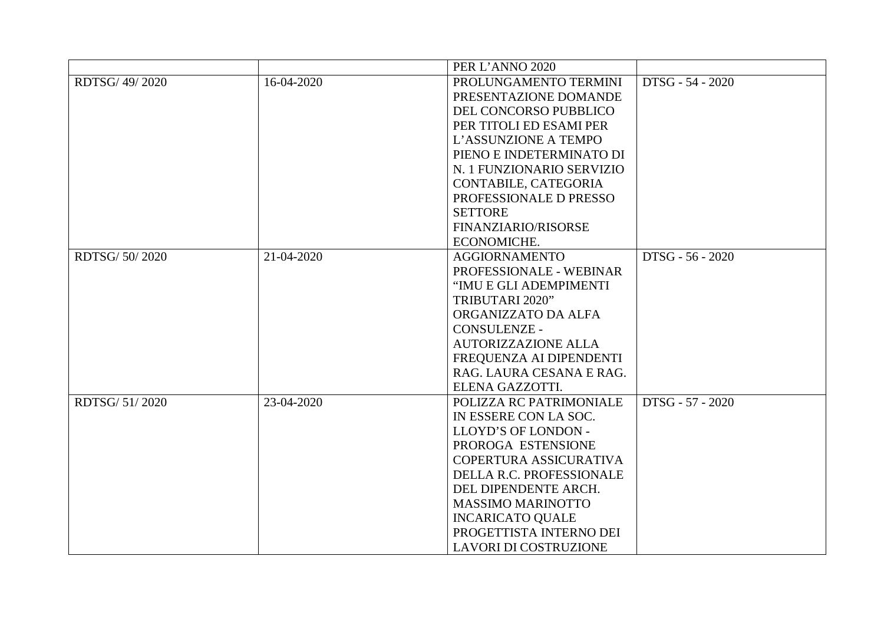|                |            | PER L'ANNO 2020              |                  |
|----------------|------------|------------------------------|------------------|
| RDTSG/ 49/2020 | 16-04-2020 | PROLUNGAMENTO TERMINI        | DTSG - 54 - 2020 |
|                |            | PRESENTAZIONE DOMANDE        |                  |
|                |            | DEL CONCORSO PUBBLICO        |                  |
|                |            | PER TITOLI ED ESAMI PER      |                  |
|                |            | L'ASSUNZIONE A TEMPO         |                  |
|                |            | PIENO E INDETERMINATO DI     |                  |
|                |            | N. 1 FUNZIONARIO SERVIZIO    |                  |
|                |            | CONTABILE, CATEGORIA         |                  |
|                |            | PROFESSIONALE D PRESSO       |                  |
|                |            | <b>SETTORE</b>               |                  |
|                |            | FINANZIARIO/RISORSE          |                  |
|                |            | ECONOMICHE.                  |                  |
| RDTSG/50/2020  | 21-04-2020 | <b>AGGIORNAMENTO</b>         | DTSG - 56 - 2020 |
|                |            | PROFESSIONALE - WEBINAR      |                  |
|                |            | "IMU E GLI ADEMPIMENTI       |                  |
|                |            | TRIBUTARI 2020"              |                  |
|                |            | ORGANIZZATO DA ALFA          |                  |
|                |            | <b>CONSULENZE -</b>          |                  |
|                |            | <b>AUTORIZZAZIONE ALLA</b>   |                  |
|                |            | FREQUENZA AI DIPENDENTI      |                  |
|                |            | RAG. LAURA CESANA E RAG.     |                  |
|                |            | ELENA GAZZOTTI.              |                  |
| RDTSG/ 51/2020 | 23-04-2020 | POLIZZA RC PATRIMONIALE      | DTSG - 57 - 2020 |
|                |            | IN ESSERE CON LA SOC.        |                  |
|                |            | LLOYD'S OF LONDON -          |                  |
|                |            | PROROGA ESTENSIONE           |                  |
|                |            | COPERTURA ASSICURATIVA       |                  |
|                |            | DELLA R.C. PROFESSIONALE     |                  |
|                |            | DEL DIPENDENTE ARCH.         |                  |
|                |            | <b>MASSIMO MARINOTTO</b>     |                  |
|                |            | <b>INCARICATO QUALE</b>      |                  |
|                |            | PROGETTISTA INTERNO DEI      |                  |
|                |            | <b>LAVORI DI COSTRUZIONE</b> |                  |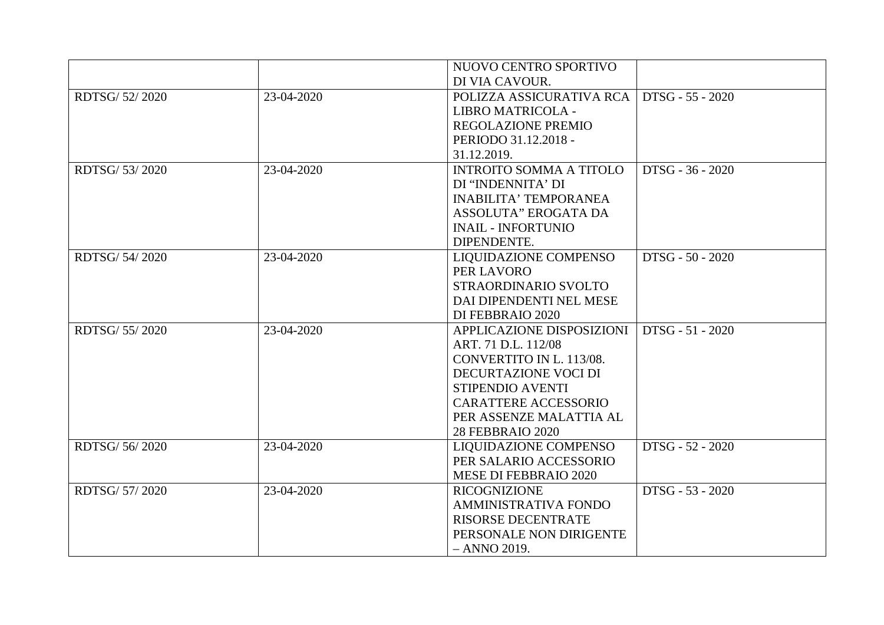|                |            | NUOVO CENTRO SPORTIVO          |                    |
|----------------|------------|--------------------------------|--------------------|
|                |            | DI VIA CAVOUR.                 |                    |
| RDTSG/ 52/2020 | 23-04-2020 | POLIZZA ASSICURATIVA RCA       | DTSG - 55 - 2020   |
|                |            | LIBRO MATRICOLA -              |                    |
|                |            | REGOLAZIONE PREMIO             |                    |
|                |            | PERIODO 31.12.2018 -           |                    |
|                |            | 31.12.2019.                    |                    |
| RDTSG/ 53/2020 | 23-04-2020 | <b>INTROITO SOMMA A TITOLO</b> | DTSG - 36 - 2020   |
|                |            | DI "INDENNITA' DI              |                    |
|                |            | <b>INABILITA' TEMPORANEA</b>   |                    |
|                |            | ASSOLUTA" EROGATA DA           |                    |
|                |            | <b>INAIL - INFORTUNIO</b>      |                    |
|                |            | DIPENDENTE.                    |                    |
| RDTSG/54/2020  | 23-04-2020 | <b>LIQUIDAZIONE COMPENSO</b>   | $DTSG - 50 - 2020$ |
|                |            | PER LAVORO                     |                    |
|                |            | STRAORDINARIO SVOLTO           |                    |
|                |            | DAI DIPENDENTI NEL MESE        |                    |
|                |            | DI FEBBRAIO 2020               |                    |
| RDTSG/ 55/2020 | 23-04-2020 | APPLICAZIONE DISPOSIZIONI      | DTSG - 51 - 2020   |
|                |            | ART. 71 D.L. 112/08            |                    |
|                |            | CONVERTITO IN L. 113/08.       |                    |
|                |            | DECURTAZIONE VOCI DI           |                    |
|                |            | STIPENDIO AVENTI               |                    |
|                |            | <b>CARATTERE ACCESSORIO</b>    |                    |
|                |            | PER ASSENZE MALATTIA AL        |                    |
|                |            | <b>28 FEBBRAIO 2020</b>        |                    |
| RDTSG/56/2020  | 23-04-2020 | <b>LIQUIDAZIONE COMPENSO</b>   | DTSG - 52 - 2020   |
|                |            | PER SALARIO ACCESSORIO         |                    |
|                |            | <b>MESE DI FEBBRAIO 2020</b>   |                    |
| RDTSG/ 57/2020 | 23-04-2020 | <b>RICOGNIZIONE</b>            | DTSG - 53 - 2020   |
|                |            | <b>AMMINISTRATIVA FONDO</b>    |                    |
|                |            | <b>RISORSE DECENTRATE</b>      |                    |
|                |            | PERSONALE NON DIRIGENTE        |                    |
|                |            | $- ANNO 2019.$                 |                    |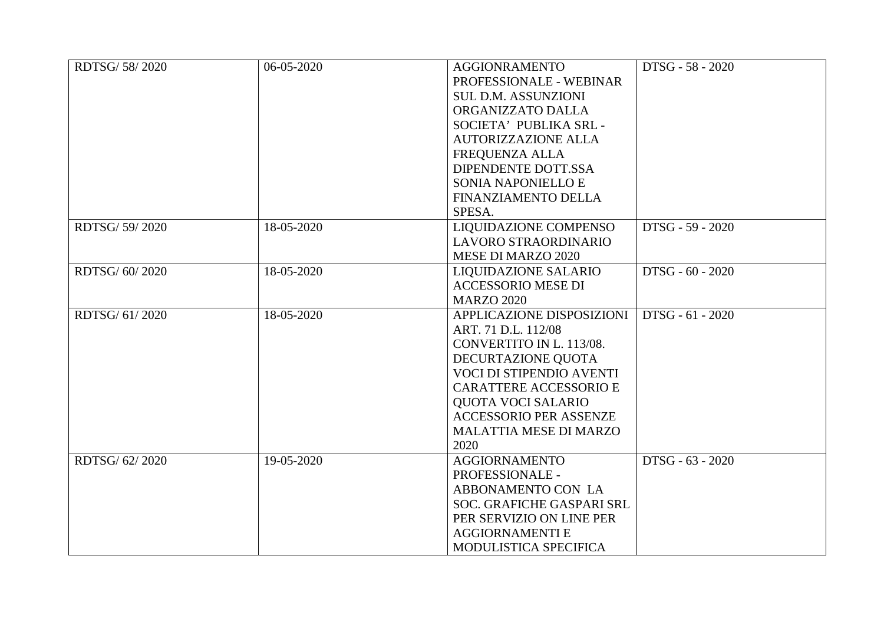| RDTSG/ 58/2020 | 06-05-2020 | <b>AGGIONRAMENTO</b>             | DTSG - 58 - 2020 |
|----------------|------------|----------------------------------|------------------|
|                |            | PROFESSIONALE - WEBINAR          |                  |
|                |            | <b>SUL D.M. ASSUNZIONI</b>       |                  |
|                |            | ORGANIZZATO DALLA                |                  |
|                |            | SOCIETA' PUBLIKA SRL -           |                  |
|                |            | <b>AUTORIZZAZIONE ALLA</b>       |                  |
|                |            | FREQUENZA ALLA                   |                  |
|                |            | DIPENDENTE DOTT.SSA              |                  |
|                |            | <b>SONIA NAPONIELLO E</b>        |                  |
|                |            | FINANZIAMENTO DELLA              |                  |
|                |            | SPESA.                           |                  |
| RDTSG/ 59/2020 | 18-05-2020 | LIQUIDAZIONE COMPENSO            | DTSG - 59 - 2020 |
|                |            | LAVORO STRAORDINARIO             |                  |
|                |            | MESE DI MARZO 2020               |                  |
| RDTSG/60/2020  | 18-05-2020 | LIQUIDAZIONE SALARIO             | DTSG - 60 - 2020 |
|                |            | <b>ACCESSORIO MESE DI</b>        |                  |
|                |            | <b>MARZO 2020</b>                |                  |
| RDTSG/ 61/2020 | 18-05-2020 | APPLICAZIONE DISPOSIZIONI        | DTSG - 61 - 2020 |
|                |            | ART. 71 D.L. 112/08              |                  |
|                |            | CONVERTITO IN L. 113/08.         |                  |
|                |            | DECURTAZIONE QUOTA               |                  |
|                |            | VOCI DI STIPENDIO AVENTI         |                  |
|                |            | <b>CARATTERE ACCESSORIO E</b>    |                  |
|                |            | <b>QUOTA VOCI SALARIO</b>        |                  |
|                |            | <b>ACCESSORIO PER ASSENZE</b>    |                  |
|                |            | <b>MALATTIA MESE DI MARZO</b>    |                  |
|                |            | 2020                             |                  |
| RDTSG/ 62/2020 | 19-05-2020 | <b>AGGIORNAMENTO</b>             | DTSG - 63 - 2020 |
|                |            | PROFESSIONALE -                  |                  |
|                |            | ABBONAMENTO CON LA               |                  |
|                |            | <b>SOC. GRAFICHE GASPARI SRL</b> |                  |
|                |            | PER SERVIZIO ON LINE PER         |                  |
|                |            | <b>AGGIORNAMENTI E</b>           |                  |
|                |            | MODULISTICA SPECIFICA            |                  |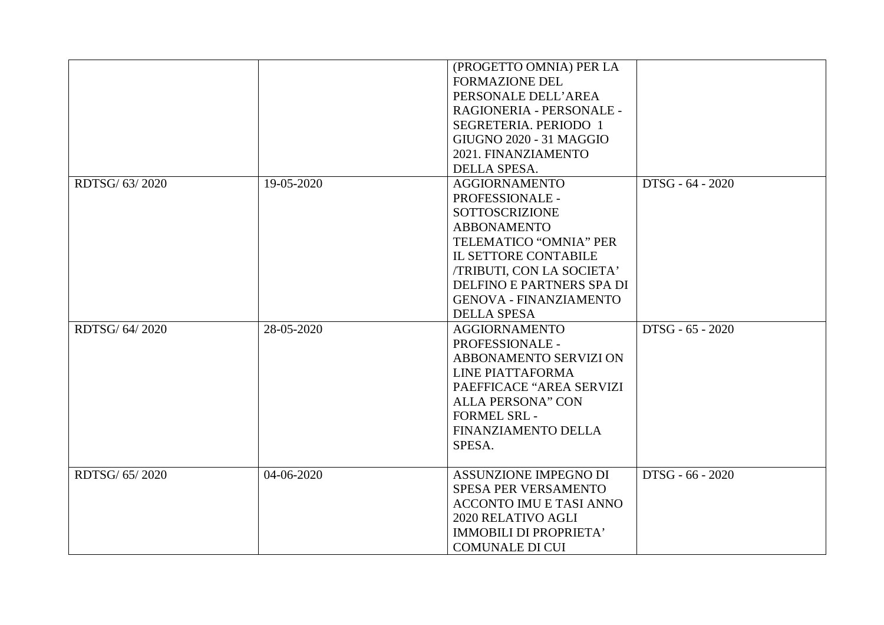|                |            | (PROGETTO OMNIA) PER LA        |                  |
|----------------|------------|--------------------------------|------------------|
|                |            | <b>FORMAZIONE DEL</b>          |                  |
|                |            | PERSONALE DELL'AREA            |                  |
|                |            | RAGIONERIA - PERSONALE -       |                  |
|                |            | SEGRETERIA. PERIODO 1          |                  |
|                |            | <b>GIUGNO 2020 - 31 MAGGIO</b> |                  |
|                |            | 2021. FINANZIAMENTO            |                  |
|                |            | DELLA SPESA.                   |                  |
| RDTSG/ 63/2020 | 19-05-2020 | <b>AGGIORNAMENTO</b>           | DTSG - 64 - 2020 |
|                |            | PROFESSIONALE -                |                  |
|                |            | <b>SOTTOSCRIZIONE</b>          |                  |
|                |            | <b>ABBONAMENTO</b>             |                  |
|                |            | TELEMATICO "OMNIA" PER         |                  |
|                |            | <b>IL SETTORE CONTABILE</b>    |                  |
|                |            | /TRIBUTI, CON LA SOCIETA'      |                  |
|                |            | DELFINO E PARTNERS SPA DI      |                  |
|                |            | <b>GENOVA - FINANZIAMENTO</b>  |                  |
|                |            | <b>DELLA SPESA</b>             |                  |
| RDTSG/ 64/2020 | 28-05-2020 | <b>AGGIORNAMENTO</b>           | DTSG - 65 - 2020 |
|                |            | PROFESSIONALE -                |                  |
|                |            | ABBONAMENTO SERVIZI ON         |                  |
|                |            | LINE PIATTAFORMA               |                  |
|                |            | PAEFFICACE "AREA SERVIZI       |                  |
|                |            | <b>ALLA PERSONA" CON</b>       |                  |
|                |            | <b>FORMEL SRL-</b>             |                  |
|                |            | FINANZIAMENTO DELLA            |                  |
|                |            | SPESA.                         |                  |
|                |            |                                |                  |
| RDTSG/ 65/2020 | 04-06-2020 | ASSUNZIONE IMPEGNO DI          | DTSG - 66 - 2020 |
|                |            | <b>SPESA PER VERSAMENTO</b>    |                  |
|                |            | <b>ACCONTO IMU E TASI ANNO</b> |                  |
|                |            | 2020 RELATIVO AGLI             |                  |
|                |            | IMMOBILI DI PROPRIETA'         |                  |
|                |            | <b>COMUNALE DI CUI</b>         |                  |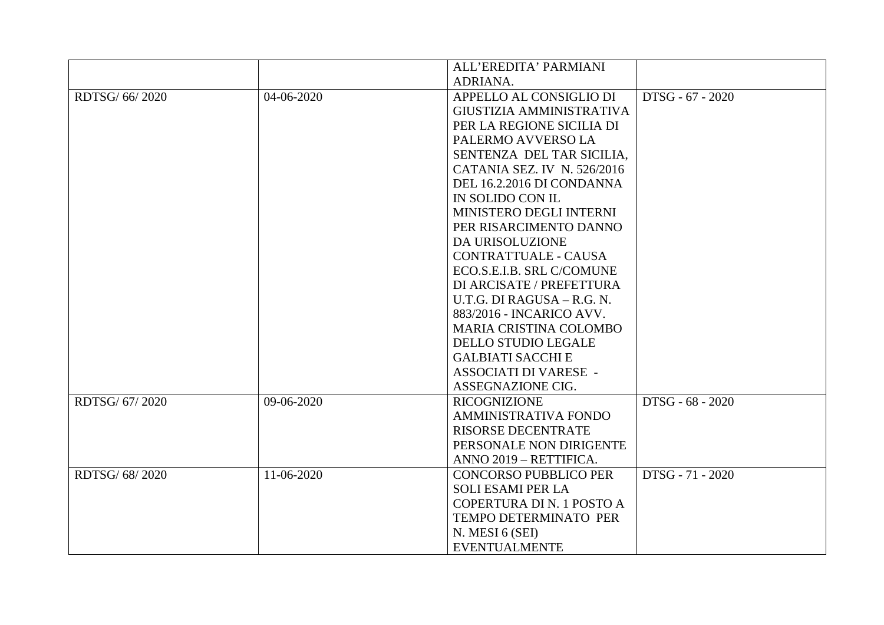|                |            | ALL'EREDITA' PARMIANI         |                  |
|----------------|------------|-------------------------------|------------------|
|                |            | ADRIANA.                      |                  |
| RDTSG/ 66/2020 | 04-06-2020 | APPELLO AL CONSIGLIO DI       | DTSG - 67 - 2020 |
|                |            | GIUSTIZIA AMMINISTRATIVA      |                  |
|                |            | PER LA REGIONE SICILIA DI     |                  |
|                |            | PALERMO AVVERSO LA            |                  |
|                |            | SENTENZA DEL TAR SICILIA.     |                  |
|                |            | CATANIA SEZ. IV N. 526/2016   |                  |
|                |            | DEL 16.2.2016 DI CONDANNA     |                  |
|                |            | IN SOLIDO CON IL              |                  |
|                |            | MINISTERO DEGLI INTERNI       |                  |
|                |            | PER RISARCIMENTO DANNO        |                  |
|                |            | DA URISOLUZIONE               |                  |
|                |            | CONTRATTUALE - CAUSA          |                  |
|                |            | ECO.S.E.I.B. SRL C/COMUNE     |                  |
|                |            | DI ARCISATE / PREFETTURA      |                  |
|                |            | U.T.G. DI RAGUSA – R.G. N.    |                  |
|                |            | 883/2016 - INCARICO AVV.      |                  |
|                |            | <b>MARIA CRISTINA COLOMBO</b> |                  |
|                |            | <b>DELLO STUDIO LEGALE</b>    |                  |
|                |            | <b>GALBIATI SACCHI E</b>      |                  |
|                |            | <b>ASSOCIATI DI VARESE -</b>  |                  |
|                |            | ASSEGNAZIONE CIG.             |                  |
| RDTSG/ 67/2020 | 09-06-2020 | <b>RICOGNIZIONE</b>           | DTSG - 68 - 2020 |
|                |            | <b>AMMINISTRATIVA FONDO</b>   |                  |
|                |            | <b>RISORSE DECENTRATE</b>     |                  |
|                |            | PERSONALE NON DIRIGENTE       |                  |
|                |            | ANNO 2019 - RETTIFICA.        |                  |
| RDTSG/68/2020  | 11-06-2020 | <b>CONCORSO PUBBLICO PER</b>  | DTSG - 71 - 2020 |
|                |            | <b>SOLI ESAMI PER LA</b>      |                  |
|                |            | COPERTURA DI N. 1 POSTO A     |                  |
|                |            | TEMPO DETERMINATO PER         |                  |
|                |            | N. MESI 6 (SEI)               |                  |
|                |            | <b>EVENTUALMENTE</b>          |                  |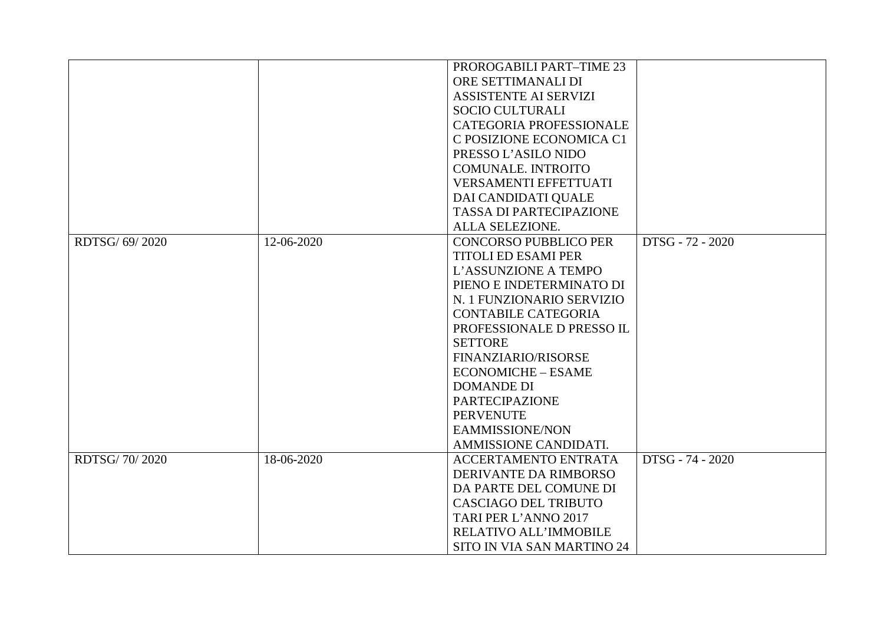|                |            | PROROGABILI PART-TIME 23                         |  |
|----------------|------------|--------------------------------------------------|--|
|                |            | ORE SETTIMANALI DI                               |  |
|                |            | <b>ASSISTENTE AI SERVIZI</b>                     |  |
|                |            | <b>SOCIO CULTURALI</b>                           |  |
|                |            | <b>CATEGORIA PROFESSIONALE</b>                   |  |
|                |            | C POSIZIONE ECONOMICA C1                         |  |
|                |            | PRESSO L'ASILO NIDO                              |  |
|                |            | <b>COMUNALE. INTROITO</b>                        |  |
|                |            | VERSAMENTI EFFETTUATI                            |  |
|                |            | DAI CANDIDATI QUALE                              |  |
|                |            | <b>TASSA DI PARTECIPAZIONE</b>                   |  |
|                |            | ALLA SELEZIONE.                                  |  |
| RDTSG/ 69/2020 | 12-06-2020 | DTSG - 72 - 2020<br><b>CONCORSO PUBBLICO PER</b> |  |
|                |            | <b>TITOLI ED ESAMI PER</b>                       |  |
|                |            | L'ASSUNZIONE A TEMPO                             |  |
|                |            | PIENO E INDETERMINATO DI                         |  |
|                |            | N. 1 FUNZIONARIO SERVIZIO                        |  |
|                |            | <b>CONTABILE CATEGORIA</b>                       |  |
|                |            | PROFESSIONALE D PRESSO IL                        |  |
|                |            | <b>SETTORE</b>                                   |  |
|                |            | <b>FINANZIARIO/RISORSE</b>                       |  |
|                |            | <b>ECONOMICHE - ESAME</b>                        |  |
|                |            | <b>DOMANDE DI</b>                                |  |
|                |            | <b>PARTECIPAZIONE</b>                            |  |
|                |            | <b>PERVENUTE</b>                                 |  |
|                |            | EAMMISSIONE/NON                                  |  |
|                |            | AMMISSIONE CANDIDATI.                            |  |
| RDTSG/70/2020  | 18-06-2020 | DTSG - 74 - 2020<br><b>ACCERTAMENTO ENTRATA</b>  |  |
|                |            | DERIVANTE DA RIMBORSO                            |  |
|                |            | DA PARTE DEL COMUNE DI                           |  |
|                |            | <b>CASCIAGO DEL TRIBUTO</b>                      |  |
|                |            | TARI PER L'ANNO 2017                             |  |
|                |            | RELATIVO ALL'IMMOBILE                            |  |
|                |            | SITO IN VIA SAN MARTINO 24                       |  |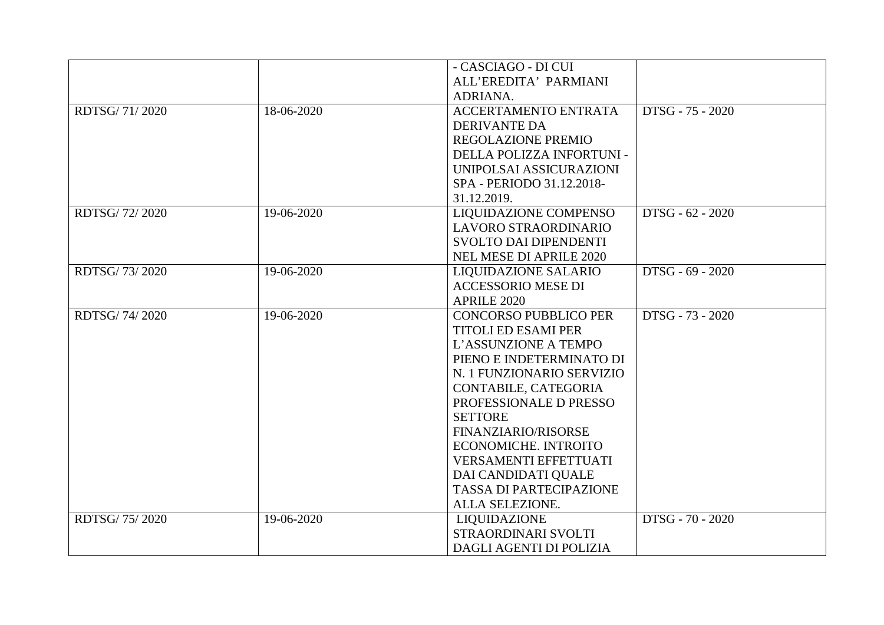|               |            | - CASCIAGO - DI CUI            |                  |
|---------------|------------|--------------------------------|------------------|
|               |            | ALL'EREDITA' PARMIANI          |                  |
|               |            | ADRIANA.                       |                  |
| RDTSG/71/2020 | 18-06-2020 | <b>ACCERTAMENTO ENTRATA</b>    | DTSG - 75 - 2020 |
|               |            | <b>DERIVANTE DA</b>            |                  |
|               |            | <b>REGOLAZIONE PREMIO</b>      |                  |
|               |            | DELLA POLIZZA INFORTUNI -      |                  |
|               |            | UNIPOLSAI ASSICURAZIONI        |                  |
|               |            | SPA - PERIODO 31.12.2018-      |                  |
|               |            | 31.12.2019.                    |                  |
| RDTSG/72/2020 | 19-06-2020 | LIQUIDAZIONE COMPENSO          | DTSG - 62 - 2020 |
|               |            | LAVORO STRAORDINARIO           |                  |
|               |            | <b>SVOLTO DAI DIPENDENTI</b>   |                  |
|               |            |                                |                  |
|               |            | <b>NEL MESE DI APRILE 2020</b> |                  |
| RDTSG/73/2020 | 19-06-2020 | <b>LIQUIDAZIONE SALARIO</b>    | DTSG - 69 - 2020 |
|               |            | <b>ACCESSORIO MESE DI</b>      |                  |
|               |            | APRILE 2020                    |                  |
| RDTSG/74/2020 | 19-06-2020 | <b>CONCORSO PUBBLICO PER</b>   | DTSG - 73 - 2020 |
|               |            | <b>TITOLI ED ESAMI PER</b>     |                  |
|               |            | L'ASSUNZIONE A TEMPO           |                  |
|               |            | PIENO E INDETERMINATO DI       |                  |
|               |            | N. 1 FUNZIONARIO SERVIZIO      |                  |
|               |            | CONTABILE, CATEGORIA           |                  |
|               |            | PROFESSIONALE D PRESSO         |                  |
|               |            | <b>SETTORE</b>                 |                  |
|               |            | FINANZIARIO/RISORSE            |                  |
|               |            | ECONOMICHE. INTROITO           |                  |
|               |            | <b>VERSAMENTI EFFETTUATI</b>   |                  |
|               |            | DAI CANDIDATI QUALE            |                  |
|               |            | <b>TASSA DI PARTECIPAZIONE</b> |                  |
|               |            | ALLA SELEZIONE.                |                  |
| RDTSG/75/2020 | 19-06-2020 | LIQUIDAZIONE                   | DTSG - 70 - 2020 |
|               |            | STRAORDINARI SVOLTI            |                  |
|               |            | DAGLI AGENTI DI POLIZIA        |                  |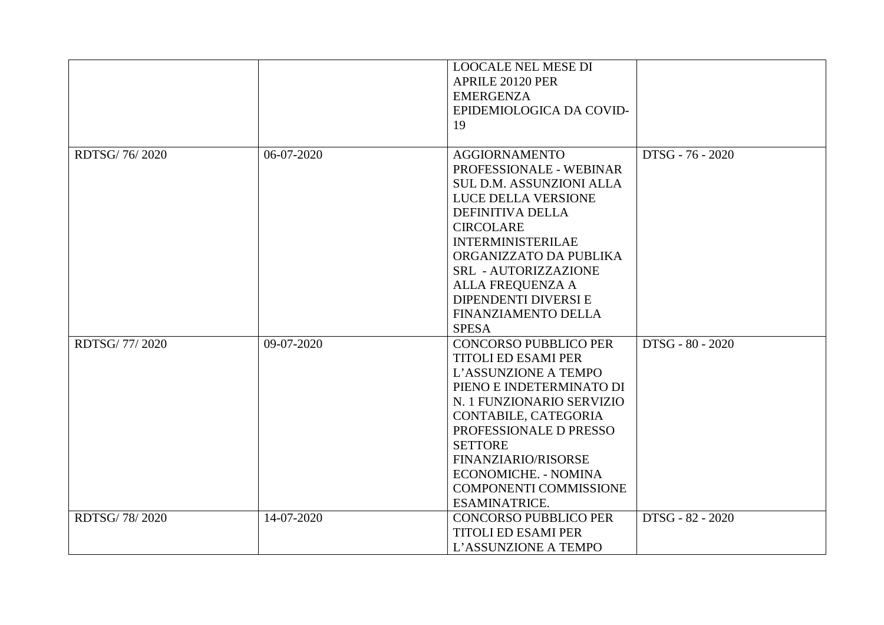|               |            | <b>LOOCALE NEL MESE DI</b><br>APRILE 20120 PER<br><b>EMERGENZA</b><br>EPIDEMIOLOGICA DA COVID-<br>19                                                                                                                                                                                                                           |                  |
|---------------|------------|--------------------------------------------------------------------------------------------------------------------------------------------------------------------------------------------------------------------------------------------------------------------------------------------------------------------------------|------------------|
| RDTSG/76/2020 | 06-07-2020 | <b>AGGIORNAMENTO</b><br>PROFESSIONALE - WEBINAR<br><b>SUL D.M. ASSUNZIONI ALLA</b><br>LUCE DELLA VERSIONE<br><b>DEFINITIVA DELLA</b><br><b>CIRCOLARE</b><br><b>INTERMINISTERILAE</b><br>ORGANIZZATO DA PUBLIKA<br>SRL - AUTORIZZAZIONE<br>ALLA FREQUENZA A<br>DIPENDENTI DIVERSI E<br>FINANZIAMENTO DELLA<br><b>SPESA</b>      | DTSG - 76 - 2020 |
| RDTSG/77/2020 | 09-07-2020 | <b>CONCORSO PUBBLICO PER</b><br><b>TITOLI ED ESAMI PER</b><br>L'ASSUNZIONE A TEMPO<br>PIENO E INDETERMINATO DI<br>N. 1 FUNZIONARIO SERVIZIO<br>CONTABILE, CATEGORIA<br>PROFESSIONALE D PRESSO<br><b>SETTORE</b><br>FINANZIARIO/RISORSE<br><b>ECONOMICHE. - NOMINA</b><br><b>COMPONENTI COMMISSIONE</b><br><b>ESAMINATRICE.</b> | DTSG - 80 - 2020 |
| RDTSG/78/2020 | 14-07-2020 | <b>CONCORSO PUBBLICO PER</b><br><b>TITOLI ED ESAMI PER</b><br>L'ASSUNZIONE A TEMPO                                                                                                                                                                                                                                             | DTSG - 82 - 2020 |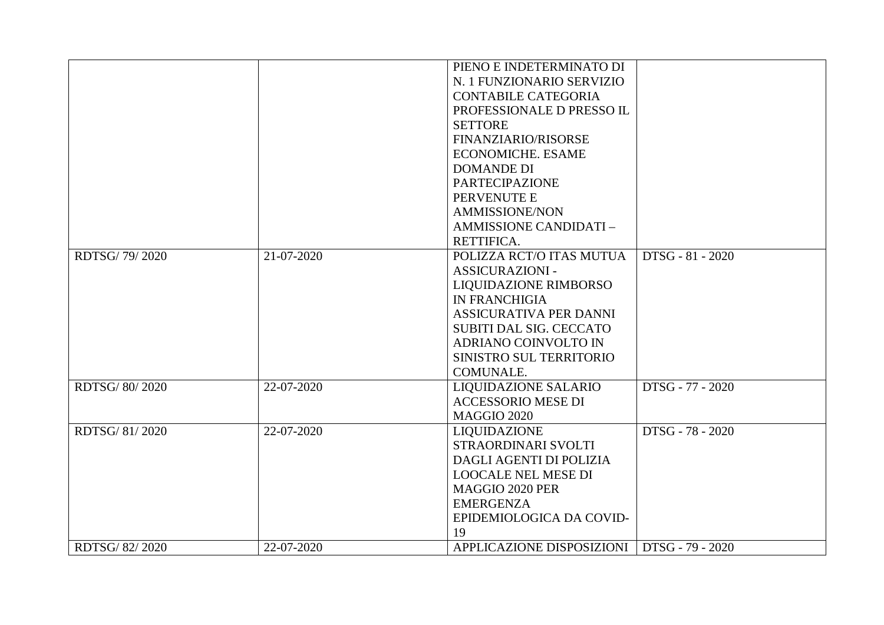|               |            | PIENO E INDETERMINATO DI       |                  |
|---------------|------------|--------------------------------|------------------|
|               |            | N. 1 FUNZIONARIO SERVIZIO      |                  |
|               |            | <b>CONTABILE CATEGORIA</b>     |                  |
|               |            | PROFESSIONALE D PRESSO IL      |                  |
|               |            | <b>SETTORE</b>                 |                  |
|               |            | <b>FINANZIARIO/RISORSE</b>     |                  |
|               |            | <b>ECONOMICHE. ESAME</b>       |                  |
|               |            | <b>DOMANDE DI</b>              |                  |
|               |            | <b>PARTECIPAZIONE</b>          |                  |
|               |            | PERVENUTE E                    |                  |
|               |            | <b>AMMISSIONE/NON</b>          |                  |
|               |            | AMMISSIONE CANDIDATI -         |                  |
|               |            | RETTIFICA.                     |                  |
| RDTSG/79/2020 | 21-07-2020 | POLIZZA RCT/O ITAS MUTUA       | DTSG - 81 - 2020 |
|               |            | <b>ASSICURAZIONI -</b>         |                  |
|               |            | LIQUIDAZIONE RIMBORSO          |                  |
|               |            | <b>IN FRANCHIGIA</b>           |                  |
|               |            | ASSICURATIVA PER DANNI         |                  |
|               |            | <b>SUBITI DAL SIG. CECCATO</b> |                  |
|               |            | ADRIANO COINVOLTO IN           |                  |
|               |            | SINISTRO SUL TERRITORIO        |                  |
|               |            | COMUNALE.                      |                  |
| RDTSG/80/2020 | 22-07-2020 | LIQUIDAZIONE SALARIO           | DTSG - 77 - 2020 |
|               |            | <b>ACCESSORIO MESE DI</b>      |                  |
|               |            | <b>MAGGIO 2020</b>             |                  |
| RDTSG/81/2020 | 22-07-2020 | LIQUIDAZIONE                   | DTSG - 78 - 2020 |
|               |            | STRAORDINARI SVOLTI            |                  |
|               |            | DAGLI AGENTI DI POLIZIA        |                  |
|               |            | <b>LOOCALE NEL MESE DI</b>     |                  |
|               |            | MAGGIO 2020 PER                |                  |
|               |            | <b>EMERGENZA</b>               |                  |
|               |            | EPIDEMIOLOGICA DA COVID-       |                  |
|               |            | 19                             |                  |
| RDTSG/82/2020 | 22-07-2020 | APPLICAZIONE DISPOSIZIONI      | DTSG - 79 - 2020 |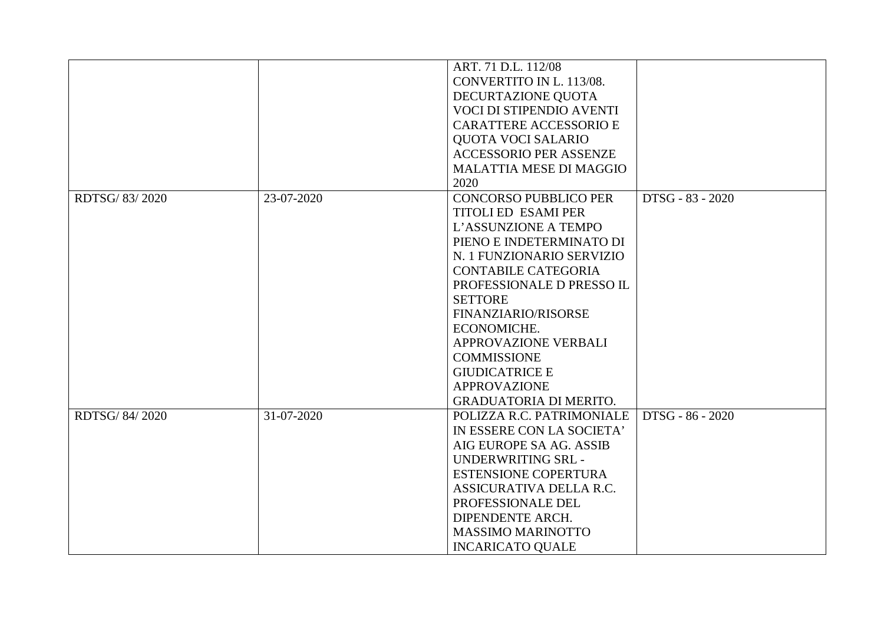|               |            | ART. 71 D.L. 112/08             |                  |
|---------------|------------|---------------------------------|------------------|
|               |            | CONVERTITO IN L. 113/08.        |                  |
|               |            | DECURTAZIONE QUOTA              |                  |
|               |            | <b>VOCI DI STIPENDIO AVENTI</b> |                  |
|               |            | <b>CARATTERE ACCESSORIO E</b>   |                  |
|               |            | QUOTA VOCI SALARIO              |                  |
|               |            | <b>ACCESSORIO PER ASSENZE</b>   |                  |
|               |            | <b>MALATTIA MESE DI MAGGIO</b>  |                  |
|               |            | 2020                            |                  |
| RDTSG/83/2020 | 23-07-2020 | <b>CONCORSO PUBBLICO PER</b>    | DTSG - 83 - 2020 |
|               |            | <b>TITOLI ED ESAMI PER</b>      |                  |
|               |            | L'ASSUNZIONE A TEMPO            |                  |
|               |            | PIENO E INDETERMINATO DI        |                  |
|               |            | N. 1 FUNZIONARIO SERVIZIO       |                  |
|               |            | <b>CONTABILE CATEGORIA</b>      |                  |
|               |            | PROFESSIONALE D PRESSO IL       |                  |
|               |            | <b>SETTORE</b>                  |                  |
|               |            | <b>FINANZIARIO/RISORSE</b>      |                  |
|               |            | ECONOMICHE.                     |                  |
|               |            | APPROVAZIONE VERBALI            |                  |
|               |            | <b>COMMISSIONE</b>              |                  |
|               |            | <b>GIUDICATRICE E</b>           |                  |
|               |            | <b>APPROVAZIONE</b>             |                  |
|               |            | <b>GRADUATORIA DI MERITO.</b>   |                  |
| RDTSG/84/2020 | 31-07-2020 | POLIZZA R.C. PATRIMONIALE       | DTSG - 86 - 2020 |
|               |            | IN ESSERE CON LA SOCIETA'       |                  |
|               |            | AIG EUROPE SA AG. ASSIB         |                  |
|               |            | <b>UNDERWRITING SRL-</b>        |                  |
|               |            | <b>ESTENSIONE COPERTURA</b>     |                  |
|               |            | ASSICURATIVA DELLA R.C.         |                  |
|               |            | PROFESSIONALE DEL               |                  |
|               |            | DIPENDENTE ARCH.                |                  |
|               |            | <b>MASSIMO MARINOTTO</b>        |                  |
|               |            | <b>INCARICATO QUALE</b>         |                  |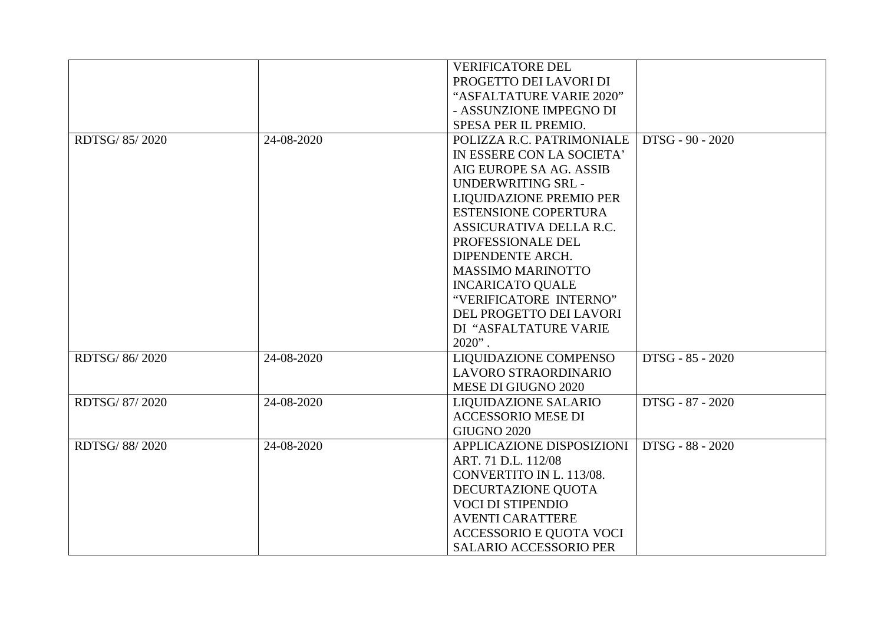|               |            | <b>VERIFICATORE DEL</b>       |                  |
|---------------|------------|-------------------------------|------------------|
|               |            | PROGETTO DEI LAVORI DI        |                  |
|               |            | "ASFALTATURE VARIE 2020"      |                  |
|               |            | - ASSUNZIONE IMPEGNO DI       |                  |
|               |            | SPESA PER IL PREMIO.          |                  |
| RDTSG/85/2020 | 24-08-2020 | POLIZZA R.C. PATRIMONIALE     | DTSG - 90 - 2020 |
|               |            | IN ESSERE CON LA SOCIETA'     |                  |
|               |            | AIG EUROPE SA AG. ASSIB       |                  |
|               |            | UNDERWRITING SRL -            |                  |
|               |            | LIQUIDAZIONE PREMIO PER       |                  |
|               |            | <b>ESTENSIONE COPERTURA</b>   |                  |
|               |            | ASSICURATIVA DELLA R.C.       |                  |
|               |            | PROFESSIONALE DEL             |                  |
|               |            | DIPENDENTE ARCH.              |                  |
|               |            | <b>MASSIMO MARINOTTO</b>      |                  |
|               |            | <b>INCARICATO QUALE</b>       |                  |
|               |            | "VERIFICATORE INTERNO"        |                  |
|               |            | DEL PROGETTO DEI LAVORI       |                  |
|               |            | DI "ASFALTATURE VARIE         |                  |
|               |            | $2020"$ .                     |                  |
| RDTSG/86/2020 | 24-08-2020 | LIQUIDAZIONE COMPENSO         | DTSG - 85 - 2020 |
|               |            | LAVORO STRAORDINARIO          |                  |
|               |            | MESE DI GIUGNO 2020           |                  |
| RDTSG/87/2020 | 24-08-2020 | <b>LIQUIDAZIONE SALARIO</b>   | DTSG - 87 - 2020 |
|               |            | <b>ACCESSORIO MESE DI</b>     |                  |
|               |            | <b>GIUGNO 2020</b>            |                  |
| RDTSG/88/2020 | 24-08-2020 | APPLICAZIONE DISPOSIZIONI     | DTSG - 88 - 2020 |
|               |            | ART. 71 D.L. 112/08           |                  |
|               |            | CONVERTITO IN L. 113/08.      |                  |
|               |            | DECURTAZIONE QUOTA            |                  |
|               |            | <b>VOCI DI STIPENDIO</b>      |                  |
|               |            | <b>AVENTI CARATTERE</b>       |                  |
|               |            | ACCESSORIO E QUOTA VOCI       |                  |
|               |            | <b>SALARIO ACCESSORIO PER</b> |                  |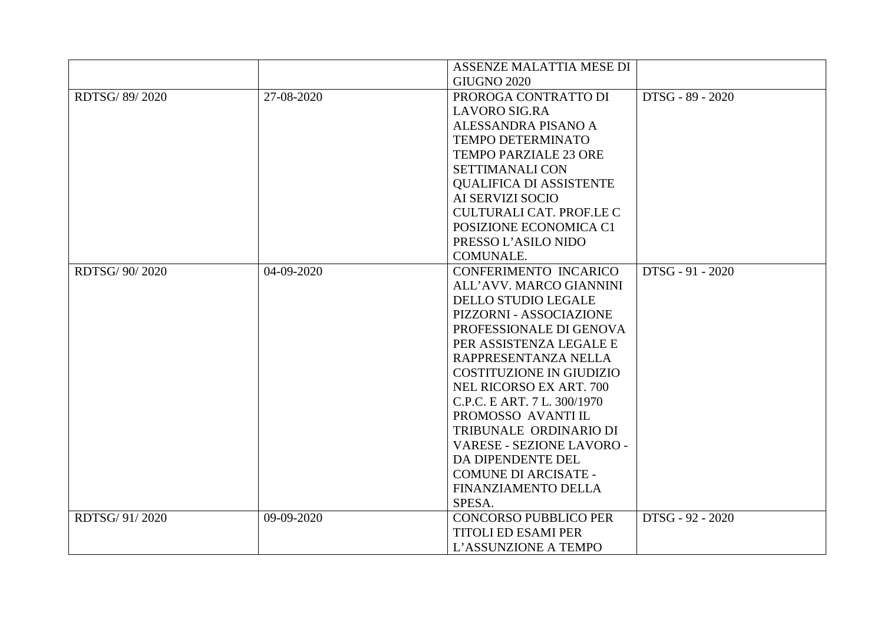|                 |            | ASSENZE MALATTIA MESE DI        |                  |
|-----------------|------------|---------------------------------|------------------|
|                 |            | <b>GIUGNO 2020</b>              |                  |
| RDTSG/89/2020   | 27-08-2020 | PROROGA CONTRATTO DI            | DTSG - 89 - 2020 |
|                 |            | <b>LAVORO SIG.RA</b>            |                  |
|                 |            | ALESSANDRA PISANO A             |                  |
|                 |            | <b>TEMPO DETERMINATO</b>        |                  |
|                 |            | <b>TEMPO PARZIALE 23 ORE</b>    |                  |
|                 |            | <b>SETTIMANALI CON</b>          |                  |
|                 |            | <b>QUALIFICA DI ASSISTENTE</b>  |                  |
|                 |            | AI SERVIZI SOCIO                |                  |
|                 |            | <b>CULTURALI CAT. PROF.LE C</b> |                  |
|                 |            | POSIZIONE ECONOMICA C1          |                  |
|                 |            | PRESSO L'ASILO NIDO             |                  |
|                 |            | COMUNALE.                       |                  |
| RDTSG/ 90/ 2020 | 04-09-2020 | CONFERIMENTO INCARICO           | DTSG - 91 - 2020 |
|                 |            | ALL'AVV. MARCO GIANNINI         |                  |
|                 |            | <b>DELLO STUDIO LEGALE</b>      |                  |
|                 |            | PIZZORNI - ASSOCIAZIONE         |                  |
|                 |            | PROFESSIONALE DI GENOVA         |                  |
|                 |            | PER ASSISTENZA LEGALE E         |                  |
|                 |            | RAPPRESENTANZA NELLA            |                  |
|                 |            | <b>COSTITUZIONE IN GIUDIZIO</b> |                  |
|                 |            | NEL RICORSO EX ART. 700         |                  |
|                 |            | C.P.C. E ART. 7 L. 300/1970     |                  |
|                 |            | PROMOSSO AVANTI IL              |                  |
|                 |            | TRIBUNALE ORDINARIO DI          |                  |
|                 |            | VARESE - SEZIONE LAVORO -       |                  |
|                 |            | DA DIPENDENTE DEL               |                  |
|                 |            | <b>COMUNE DI ARCISATE -</b>     |                  |
|                 |            | FINANZIAMENTO DELLA             |                  |
|                 |            | SPESA.                          |                  |
| RDTSG/91/2020   | 09-09-2020 | <b>CONCORSO PUBBLICO PER</b>    | DTSG - 92 - 2020 |
|                 |            | <b>TITOLI ED ESAMI PER</b>      |                  |
|                 |            | L'ASSUNZIONE A TEMPO            |                  |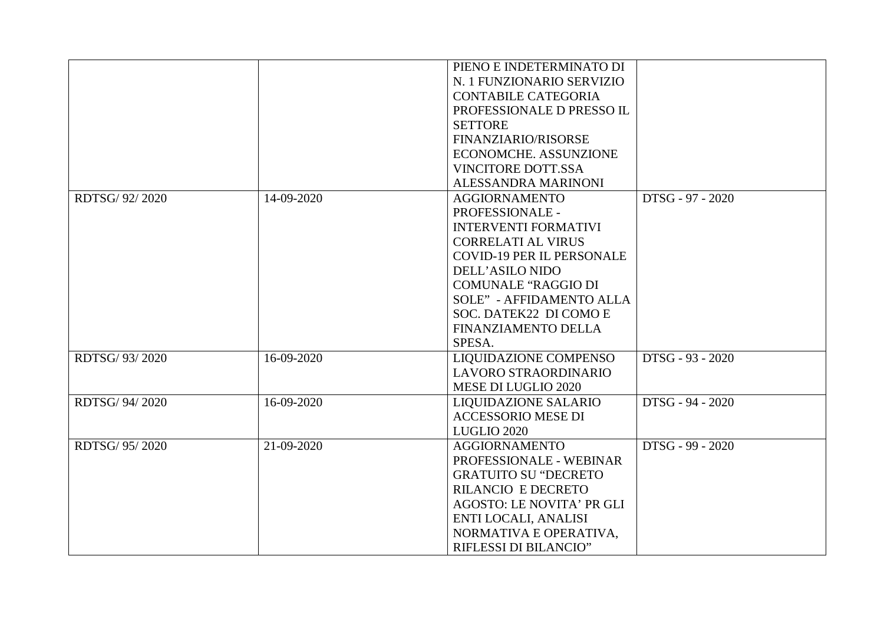|                 |            | PIENO E INDETERMINATO DI         |                  |
|-----------------|------------|----------------------------------|------------------|
|                 |            | N. 1 FUNZIONARIO SERVIZIO        |                  |
|                 |            | <b>CONTABILE CATEGORIA</b>       |                  |
|                 |            | PROFESSIONALE D PRESSO IL        |                  |
|                 |            | <b>SETTORE</b>                   |                  |
|                 |            | FINANZIARIO/RISORSE              |                  |
|                 |            | ECONOMCHE. ASSUNZIONE            |                  |
|                 |            | <b>VINCITORE DOTT.SSA</b>        |                  |
|                 |            | ALESSANDRA MARINONI              |                  |
| RDTSG/ 92/ 2020 | 14-09-2020 | <b>AGGIORNAMENTO</b>             | DTSG - 97 - 2020 |
|                 |            | PROFESSIONALE -                  |                  |
|                 |            | <b>INTERVENTI FORMATIVI</b>      |                  |
|                 |            | <b>CORRELATI AL VIRUS</b>        |                  |
|                 |            | <b>COVID-19 PER IL PERSONALE</b> |                  |
|                 |            | <b>DELL'ASILO NIDO</b>           |                  |
|                 |            | <b>COMUNALE "RAGGIO DI</b>       |                  |
|                 |            | <b>SOLE" - AFFIDAMENTO ALLA</b>  |                  |
|                 |            | SOC. DATEK22 DI COMO E           |                  |
|                 |            | FINANZIAMENTO DELLA              |                  |
|                 |            | SPESA.                           |                  |
| RDTSG/ 93/2020  | 16-09-2020 | LIQUIDAZIONE COMPENSO            | DTSG - 93 - 2020 |
|                 |            | LAVORO STRAORDINARIO             |                  |
|                 |            | MESE DI LUGLIO 2020              |                  |
| RDTSG/ 94/ 2020 | 16-09-2020 | <b>LIQUIDAZIONE SALARIO</b>      | DTSG - 94 - 2020 |
|                 |            | <b>ACCESSORIO MESE DI</b>        |                  |
|                 |            | LUGLIO 2020                      |                  |
| RDTSG/ 95/2020  | 21-09-2020 | <b>AGGIORNAMENTO</b>             | DTSG - 99 - 2020 |
|                 |            | PROFESSIONALE - WEBINAR          |                  |
|                 |            | <b>GRATUITO SU "DECRETO"</b>     |                  |
|                 |            | <b>RILANCIO E DECRETO</b>        |                  |
|                 |            | <b>AGOSTO: LE NOVITA' PR GLI</b> |                  |
|                 |            | ENTI LOCALI, ANALISI             |                  |
|                 |            | NORMATIVA E OPERATIVA,           |                  |
|                 |            | RIFLESSI DI BILANCIO"            |                  |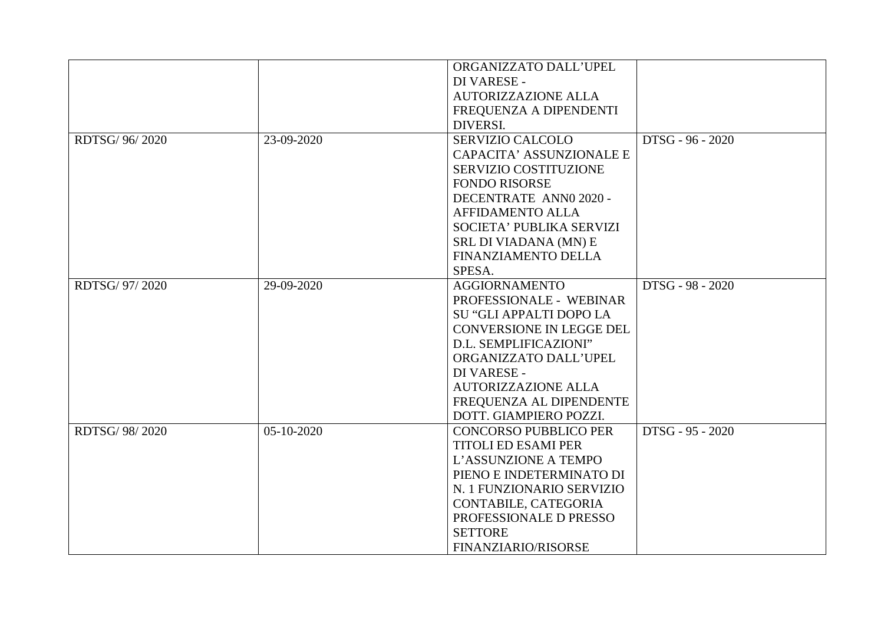|                |            | ORGANIZZATO DALL'UPEL           |                  |
|----------------|------------|---------------------------------|------------------|
|                |            | DI VARESE -                     |                  |
|                |            | <b>AUTORIZZAZIONE ALLA</b>      |                  |
|                |            | FREQUENZA A DIPENDENTI          |                  |
|                |            | DIVERSI.                        |                  |
| RDTSG/ 96/2020 | 23-09-2020 | <b>SERVIZIO CALCOLO</b>         | DTSG - 96 - 2020 |
|                |            | <b>CAPACITA' ASSUNZIONALE E</b> |                  |
|                |            | SERVIZIO COSTITUZIONE           |                  |
|                |            | <b>FONDO RISORSE</b>            |                  |
|                |            | DECENTRATE ANNO 2020 -          |                  |
|                |            | <b>AFFIDAMENTO ALLA</b>         |                  |
|                |            | SOCIETA' PUBLIKA SERVIZI        |                  |
|                |            | SRL DI VIADANA (MN) E           |                  |
|                |            | <b>FINANZIAMENTO DELLA</b>      |                  |
|                |            | SPESA.                          |                  |
| RDTSG/ 97/2020 | 29-09-2020 | <b>AGGIORNAMENTO</b>            | DTSG - 98 - 2020 |
|                |            | PROFESSIONALE - WEBINAR         |                  |
|                |            | SU "GLI APPALTI DOPO LA         |                  |
|                |            | <b>CONVERSIONE IN LEGGE DEL</b> |                  |
|                |            | D.L. SEMPLIFICAZIONI"           |                  |
|                |            | ORGANIZZATO DALL'UPEL           |                  |
|                |            | DI VARESE -                     |                  |
|                |            | <b>AUTORIZZAZIONE ALLA</b>      |                  |
|                |            | FREQUENZA AL DIPENDENTE         |                  |
|                |            | DOTT. GIAMPIERO POZZI.          |                  |
| RDTSG/ 98/2020 | 05-10-2020 | <b>CONCORSO PUBBLICO PER</b>    | DTSG - 95 - 2020 |
|                |            | <b>TITOLI ED ESAMI PER</b>      |                  |
|                |            | L'ASSUNZIONE A TEMPO            |                  |
|                |            | PIENO E INDETERMINATO DI        |                  |
|                |            | N. 1 FUNZIONARIO SERVIZIO       |                  |
|                |            | CONTABILE, CATEGORIA            |                  |
|                |            | PROFESSIONALE D PRESSO          |                  |
|                |            | <b>SETTORE</b>                  |                  |
|                |            | FINANZIARIO/RISORSE             |                  |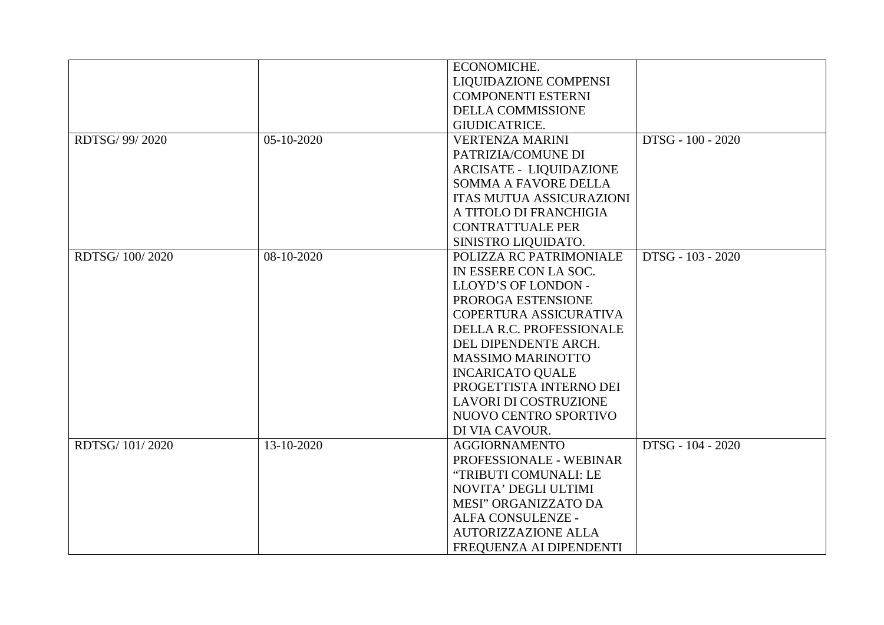|                 |            | ECONOMICHE.                     |                   |
|-----------------|------------|---------------------------------|-------------------|
|                 |            | LIQUIDAZIONE COMPENSI           |                   |
|                 |            | <b>COMPONENTI ESTERNI</b>       |                   |
|                 |            | DELLA COMMISSIONE               |                   |
|                 |            | <b>GIUDICATRICE.</b>            |                   |
| RDTSG/ 99/ 2020 | 05-10-2020 | <b>VERTENZA MARINI</b>          | DTSG - 100 - 2020 |
|                 |            | PATRIZIA/COMUNE DI              |                   |
|                 |            | <b>ARCISATE - LIQUIDAZIONE</b>  |                   |
|                 |            | SOMMA A FAVORE DELLA            |                   |
|                 |            | <b>ITAS MUTUA ASSICURAZIONI</b> |                   |
|                 |            | A TITOLO DI FRANCHIGIA          |                   |
|                 |            | <b>CONTRATTUALE PER</b>         |                   |
|                 |            | SINISTRO LIQUIDATO.             |                   |
| RDTSG/ 100/2020 | 08-10-2020 | POLIZZA RC PATRIMONIALE         | DTSG - 103 - 2020 |
|                 |            | IN ESSERE CON LA SOC.           |                   |
|                 |            | LLOYD'S OF LONDON -             |                   |
|                 |            | PROROGA ESTENSIONE              |                   |
|                 |            | COPERTURA ASSICURATIVA          |                   |
|                 |            | DELLA R.C. PROFESSIONALE        |                   |
|                 |            | DEL DIPENDENTE ARCH.            |                   |
|                 |            | <b>MASSIMO MARINOTTO</b>        |                   |
|                 |            | <b>INCARICATO QUALE</b>         |                   |
|                 |            | PROGETTISTA INTERNO DEI         |                   |
|                 |            | <b>LAVORI DI COSTRUZIONE</b>    |                   |
|                 |            | NUOVO CENTRO SPORTIVO           |                   |
|                 |            | DI VIA CAVOUR.                  |                   |
| RDTSG/ 101/2020 | 13-10-2020 | <b>AGGIORNAMENTO</b>            | DTSG - 104 - 2020 |
|                 |            | PROFESSIONALE - WEBINAR         |                   |
|                 |            | "TRIBUTI COMUNALI: LE           |                   |
|                 |            | NOVITA' DEGLI ULTIMI            |                   |
|                 |            | MESI" ORGANIZZATO DA            |                   |
|                 |            | ALFA CONSULENZE -               |                   |
|                 |            | <b>AUTORIZZAZIONE ALLA</b>      |                   |
|                 |            | FREQUENZA AI DIPENDENTI         |                   |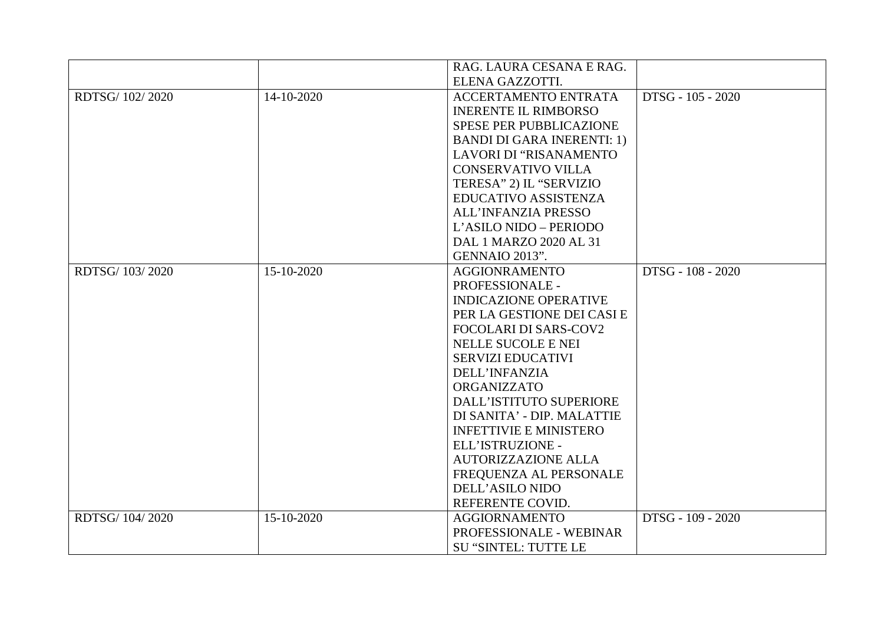|                 |            | RAG. LAURA CESANA E RAG.          |                   |
|-----------------|------------|-----------------------------------|-------------------|
|                 |            | ELENA GAZZOTTI.                   |                   |
| RDTSG/ 102/2020 | 14-10-2020 | ACCERTAMENTO ENTRATA              | DTSG - 105 - 2020 |
|                 |            | <b>INERENTE IL RIMBORSO</b>       |                   |
|                 |            | <b>SPESE PER PUBBLICAZIONE</b>    |                   |
|                 |            | <b>BANDI DI GARA INERENTI: 1)</b> |                   |
|                 |            | LAVORI DI "RISANAMENTO            |                   |
|                 |            | <b>CONSERVATIVO VILLA</b>         |                   |
|                 |            | TERESA" 2) IL "SERVIZIO           |                   |
|                 |            | EDUCATIVO ASSISTENZA              |                   |
|                 |            | ALL'INFANZIA PRESSO               |                   |
|                 |            | L'ASILO NIDO - PERIODO            |                   |
|                 |            | DAL 1 MARZO 2020 AL 31            |                   |
|                 |            | GENNAIO 2013".                    |                   |
| RDTSG/ 103/2020 | 15-10-2020 | <b>AGGIONRAMENTO</b>              | DTSG - 108 - 2020 |
|                 |            | PROFESSIONALE -                   |                   |
|                 |            | <b>INDICAZIONE OPERATIVE</b>      |                   |
|                 |            | PER LA GESTIONE DEI CASI E        |                   |
|                 |            | <b>FOCOLARI DI SARS-COV2</b>      |                   |
|                 |            | NELLE SUCOLE E NEI                |                   |
|                 |            | <b>SERVIZI EDUCATIVI</b>          |                   |
|                 |            | DELL'INFANZIA                     |                   |
|                 |            | ORGANIZZATO                       |                   |
|                 |            | DALL'ISTITUTO SUPERIORE           |                   |
|                 |            | DI SANITA' - DIP. MALATTIE        |                   |
|                 |            | <b>INFETTIVIE E MINISTERO</b>     |                   |
|                 |            | ELL'ISTRUZIONE -                  |                   |
|                 |            | <b>AUTORIZZAZIONE ALLA</b>        |                   |
|                 |            | FREQUENZA AL PERSONALE            |                   |
|                 |            | DELL'ASILO NIDO                   |                   |
|                 |            | REFERENTE COVID.                  |                   |
| RDTSG/104/2020  | 15-10-2020 | <b>AGGIORNAMENTO</b>              | DTSG - 109 - 2020 |
|                 |            | PROFESSIONALE - WEBINAR           |                   |
|                 |            | <b>SU "SINTEL: TUTTE LE</b>       |                   |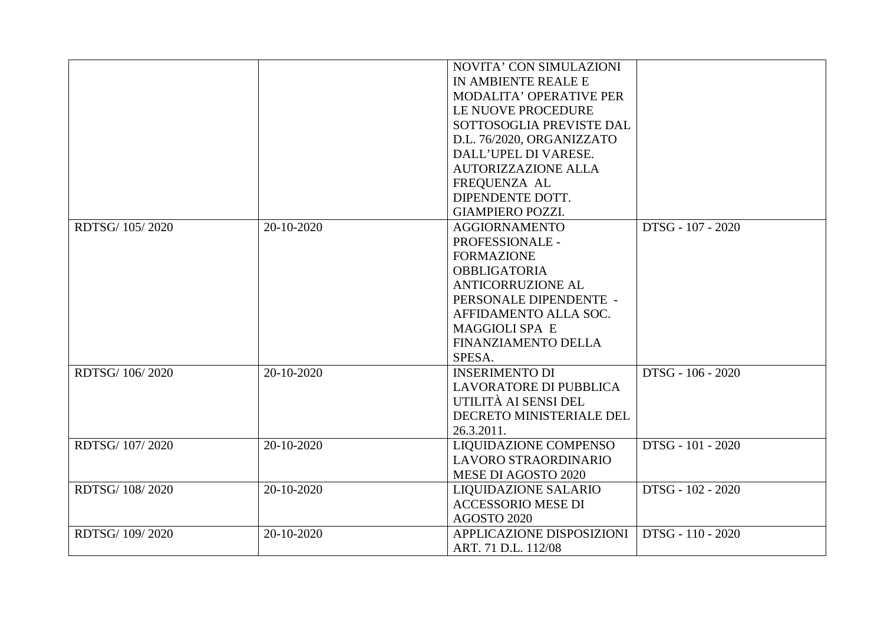|                 |            | NOVITA' CON SIMULAZIONI      |                   |
|-----------------|------------|------------------------------|-------------------|
|                 |            | IN AMBIENTE REALE E          |                   |
|                 |            | MODALITA' OPERATIVE PER      |                   |
|                 |            | LE NUOVE PROCEDURE           |                   |
|                 |            | SOTTOSOGLIA PREVISTE DAL     |                   |
|                 |            | D.L. 76/2020, ORGANIZZATO    |                   |
|                 |            | DALL'UPEL DI VARESE.         |                   |
|                 |            | <b>AUTORIZZAZIONE ALLA</b>   |                   |
|                 |            | FREQUENZA AL                 |                   |
|                 |            | DIPENDENTE DOTT.             |                   |
|                 |            | <b>GIAMPIERO POZZI.</b>      |                   |
| RDTSG/ 105/2020 | 20-10-2020 | <b>AGGIORNAMENTO</b>         | DTSG - 107 - 2020 |
|                 |            | PROFESSIONALE -              |                   |
|                 |            | <b>FORMAZIONE</b>            |                   |
|                 |            | <b>OBBLIGATORIA</b>          |                   |
|                 |            | <b>ANTICORRUZIONE AL</b>     |                   |
|                 |            | PERSONALE DIPENDENTE -       |                   |
|                 |            | AFFIDAMENTO ALLA SOC.        |                   |
|                 |            | <b>MAGGIOLI SPA E</b>        |                   |
|                 |            | FINANZIAMENTO DELLA          |                   |
|                 |            | SPESA.                       |                   |
| RDTSG/106/2020  | 20-10-2020 | <b>INSERIMENTO DI</b>        | DTSG - 106 - 2020 |
|                 |            | LAVORATORE DI PUBBLICA       |                   |
|                 |            | UTILITÀ AI SENSI DEL         |                   |
|                 |            | DECRETO MINISTERIALE DEL     |                   |
|                 |            | 26.3.2011.                   |                   |
| RDTSG/ 107/2020 | 20-10-2020 | <b>LIQUIDAZIONE COMPENSO</b> | DTSG - 101 - 2020 |
|                 |            | LAVORO STRAORDINARIO         |                   |
|                 |            | MESE DI AGOSTO 2020          |                   |
| RDTSG/ 108/2020 | 20-10-2020 | <b>LIQUIDAZIONE SALARIO</b>  | DTSG - 102 - 2020 |
|                 |            | <b>ACCESSORIO MESE DI</b>    |                   |
|                 |            | <b>AGOSTO 2020</b>           |                   |
| RDTSG/ 109/2020 | 20-10-2020 | APPLICAZIONE DISPOSIZIONI    | DTSG - 110 - 2020 |
|                 |            | ART. 71 D.L. 112/08          |                   |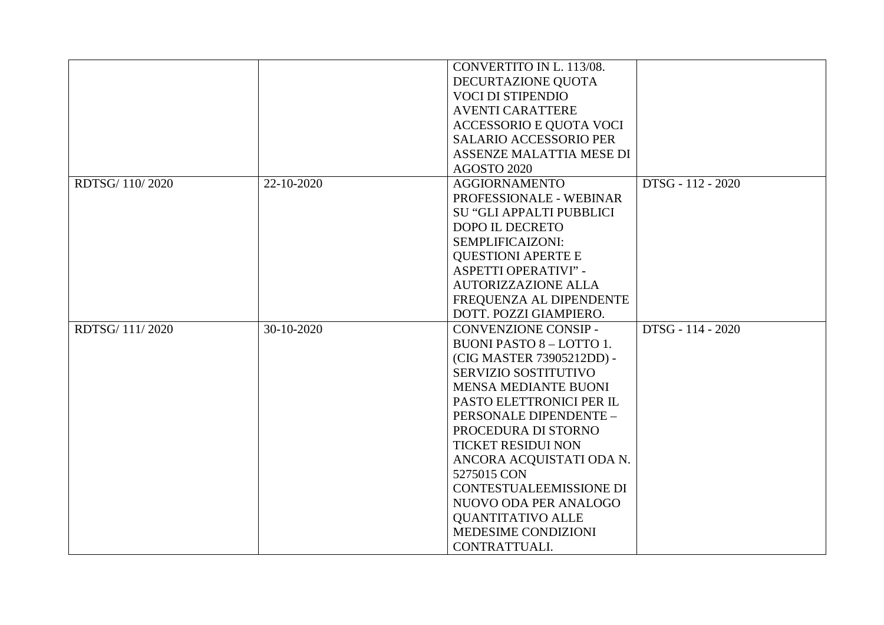|                 |            | CONVERTITO IN L. 113/08.        |                   |
|-----------------|------------|---------------------------------|-------------------|
|                 |            | DECURTAZIONE QUOTA              |                   |
|                 |            | <b>VOCI DI STIPENDIO</b>        |                   |
|                 |            | <b>AVENTI CARATTERE</b>         |                   |
|                 |            | ACCESSORIO E QUOTA VOCI         |                   |
|                 |            | <b>SALARIO ACCESSORIO PER</b>   |                   |
|                 |            | ASSENZE MALATTIA MESE DI        |                   |
|                 |            | <b>AGOSTO 2020</b>              |                   |
| RDTSG/ 110/2020 | 22-10-2020 | <b>AGGIORNAMENTO</b>            | DTSG - 112 - 2020 |
|                 |            | PROFESSIONALE - WEBINAR         |                   |
|                 |            | SU "GLI APPALTI PUBBLICI        |                   |
|                 |            | DOPO IL DECRETO                 |                   |
|                 |            | SEMPLIFICAIZONI:                |                   |
|                 |            | <b>QUESTIONI APERTE E</b>       |                   |
|                 |            | <b>ASPETTI OPERATIVI" -</b>     |                   |
|                 |            | <b>AUTORIZZAZIONE ALLA</b>      |                   |
|                 |            | FREQUENZA AL DIPENDENTE         |                   |
|                 |            | DOTT. POZZI GIAMPIERO.          |                   |
| RDTSG/111/2020  | 30-10-2020 | <b>CONVENZIONE CONSIP -</b>     | DTSG - 114 - 2020 |
|                 |            | <b>BUONI PASTO 8 - LOTTO 1.</b> |                   |
|                 |            | (CIG MASTER 73905212DD) -       |                   |
|                 |            | SERVIZIO SOSTITUTIVO            |                   |
|                 |            | MENSA MEDIANTE BUONI            |                   |
|                 |            | PASTO ELETTRONICI PER IL        |                   |
|                 |            | PERSONALE DIPENDENTE -          |                   |
|                 |            | PROCEDURA DI STORNO             |                   |
|                 |            | <b>TICKET RESIDUI NON</b>       |                   |
|                 |            | ANCORA ACQUISTATI ODA N.        |                   |
|                 |            | 5275015 CON                     |                   |
|                 |            | CONTESTUALEEMISSIONE DI         |                   |
|                 |            | NUOVO ODA PER ANALOGO           |                   |
|                 |            | <b>QUANTITATIVO ALLE</b>        |                   |
|                 |            | MEDESIME CONDIZIONI             |                   |
|                 |            | CONTRATTUALI.                   |                   |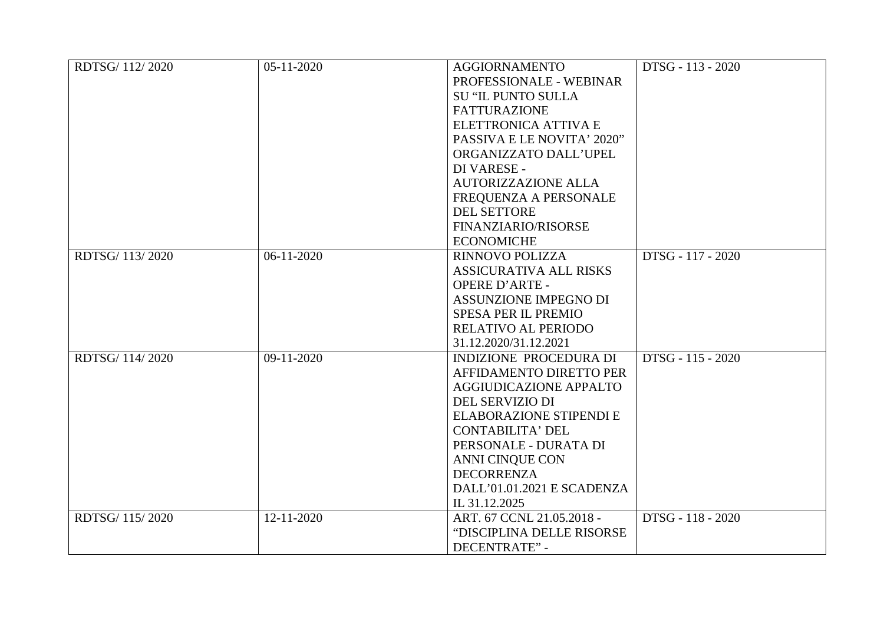| RDTSG/ 112/2020 | 05-11-2020   | <b>AGGIORNAMENTO</b>           | DTSG - 113 - 2020 |
|-----------------|--------------|--------------------------------|-------------------|
|                 |              | PROFESSIONALE - WEBINAR        |                   |
|                 |              | <b>SU "IL PUNTO SULLA</b>      |                   |
|                 |              | <b>FATTURAZIONE</b>            |                   |
|                 |              | ELETTRONICA ATTIVA E           |                   |
|                 |              | PASSIVA E LE NOVITA' 2020"     |                   |
|                 |              | ORGANIZZATO DALL'UPEL          |                   |
|                 |              | DI VARESE -                    |                   |
|                 |              | <b>AUTORIZZAZIONE ALLA</b>     |                   |
|                 |              | FREQUENZA A PERSONALE          |                   |
|                 |              | DEL SETTORE                    |                   |
|                 |              | FINANZIARIO/RISORSE            |                   |
|                 |              | <b>ECONOMICHE</b>              |                   |
| RDTSG/ 113/2020 | $06-11-2020$ | RINNOVO POLIZZA                | DTSG - 117 - 2020 |
|                 |              | <b>ASSICURATIVA ALL RISKS</b>  |                   |
|                 |              | <b>OPERE D'ARTE -</b>          |                   |
|                 |              | <b>ASSUNZIONE IMPEGNO DI</b>   |                   |
|                 |              | SPESA PER IL PREMIO            |                   |
|                 |              | <b>RELATIVO AL PERIODO</b>     |                   |
|                 |              | 31.12.2020/31.12.2021          |                   |
| RDTSG/ 114/2020 | 09-11-2020   | INDIZIONE PROCEDURA DI         | DTSG - 115 - 2020 |
|                 |              | AFFIDAMENTO DIRETTO PER        |                   |
|                 |              | AGGIUDICAZIONE APPALTO         |                   |
|                 |              | DEL SERVIZIO DI                |                   |
|                 |              | <b>ELABORAZIONE STIPENDI E</b> |                   |
|                 |              | <b>CONTABILITA' DEL</b>        |                   |
|                 |              | PERSONALE - DURATA DI          |                   |
|                 |              | <b>ANNI CINQUE CON</b>         |                   |
|                 |              | <b>DECORRENZA</b>              |                   |
|                 |              | DALL'01.01.2021 E SCADENZA     |                   |
|                 |              | IL 31.12.2025                  |                   |
| RDTSG/ 115/2020 | 12-11-2020   | ART. 67 CCNL 21.05.2018 -      | DTSG - 118 - 2020 |
|                 |              | "DISCIPLINA DELLE RISORSE      |                   |
|                 |              | <b>DECENTRATE" -</b>           |                   |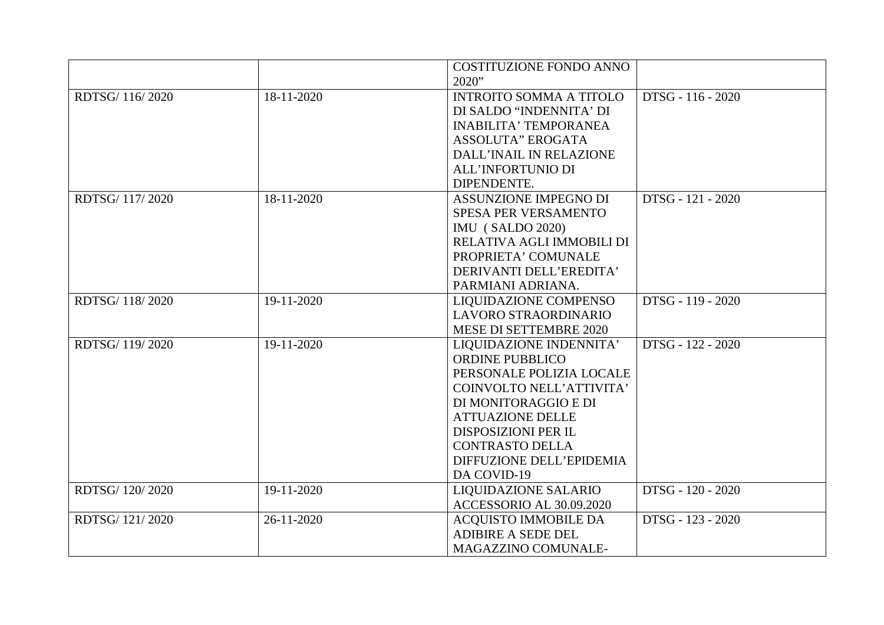|                 |            | <b>COSTITUZIONE FONDO ANNO</b> |                   |
|-----------------|------------|--------------------------------|-------------------|
|                 |            | 2020"                          |                   |
| RDTSG/ 116/2020 | 18-11-2020 | <b>INTROITO SOMMA A TITOLO</b> | DTSG - 116 - 2020 |
|                 |            | DI SALDO "INDENNITA' DI        |                   |
|                 |            | <b>INABILITA' TEMPORANEA</b>   |                   |
|                 |            | <b>ASSOLUTA" EROGATA</b>       |                   |
|                 |            | DALL'INAIL IN RELAZIONE        |                   |
|                 |            | <b>ALL'INFORTUNIO DI</b>       |                   |
|                 |            | DIPENDENTE.                    |                   |
| RDTSG/ 117/2020 | 18-11-2020 | ASSUNZIONE IMPEGNO DI          | DTSG - 121 - 2020 |
|                 |            | SPESA PER VERSAMENTO           |                   |
|                 |            | <b>IMU</b> (SALDO 2020)        |                   |
|                 |            | RELATIVA AGLI IMMOBILI DI      |                   |
|                 |            | PROPRIETA' COMUNALE            |                   |
|                 |            | DERIVANTI DELL'EREDITA'        |                   |
|                 |            | PARMIANI ADRIANA.              |                   |
| RDTSG/118/2020  | 19-11-2020 | <b>LIQUIDAZIONE COMPENSO</b>   | DTSG - 119 - 2020 |
|                 |            | LAVORO STRAORDINARIO           |                   |
|                 |            | MESE DI SETTEMBRE 2020         |                   |
| RDTSG/ 119/2020 | 19-11-2020 | LIQUIDAZIONE INDENNITA'        | DTSG - 122 - 2020 |
|                 |            | <b>ORDINE PUBBLICO</b>         |                   |
|                 |            | PERSONALE POLIZIA LOCALE       |                   |
|                 |            | COINVOLTO NELL'ATTIVITA'       |                   |
|                 |            | DI MONITORAGGIO E DI           |                   |
|                 |            | <b>ATTUAZIONE DELLE</b>        |                   |
|                 |            | <b>DISPOSIZIONI PER IL</b>     |                   |
|                 |            | <b>CONTRASTO DELLA</b>         |                   |
|                 |            | DIFFUZIONE DELL'EPIDEMIA       |                   |
|                 |            | DA COVID-19                    |                   |
| RDTSG/ 120/2020 | 19-11-2020 | <b>LIQUIDAZIONE SALARIO</b>    | DTSG - 120 - 2020 |
|                 |            | ACCESSORIO AL 30.09.2020       |                   |
| RDTSG/121/2020  | 26-11-2020 | <b>ACQUISTO IMMOBILE DA</b>    | DTSG - 123 - 2020 |
|                 |            | <b>ADIBIRE A SEDE DEL</b>      |                   |
|                 |            | MAGAZZINO COMUNALE-            |                   |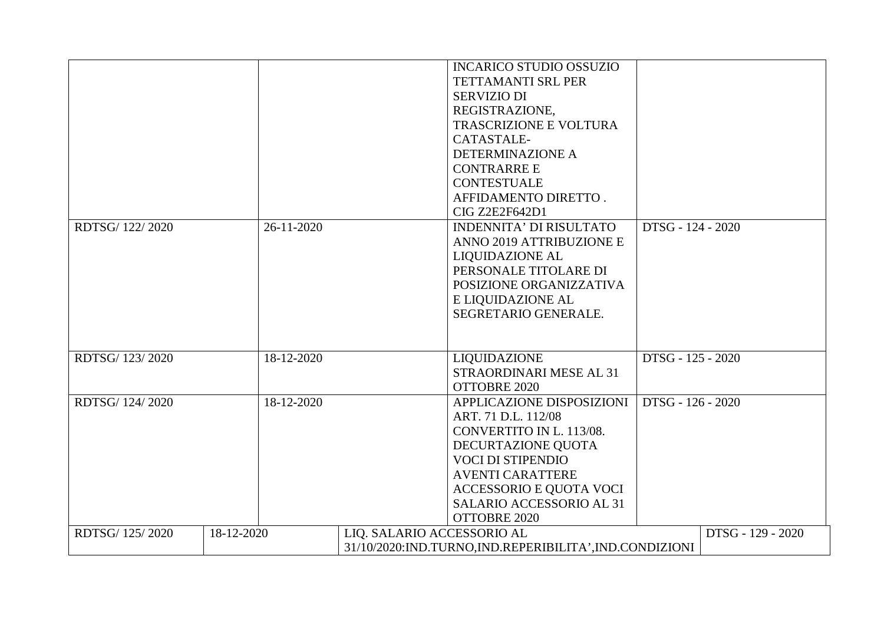|                 |            |            |                            | <b>INCARICO STUDIO OSSUZIO</b><br>TETTAMANTI SRL PER<br><b>SERVIZIO DI</b><br>REGISTRAZIONE,<br><b>TRASCRIZIONE E VOLTURA</b><br>CATASTALE-                                                                                      |                   |                   |
|-----------------|------------|------------|----------------------------|----------------------------------------------------------------------------------------------------------------------------------------------------------------------------------------------------------------------------------|-------------------|-------------------|
|                 |            |            |                            | <b>DETERMINAZIONE A</b><br><b>CONTRARRE E</b><br><b>CONTESTUALE</b><br>AFFIDAMENTO DIRETTO.<br>CIG Z2E2F642D1                                                                                                                    |                   |                   |
| RDTSG/ 122/2020 |            | 26-11-2020 |                            | <b>INDENNITA' DI RISULTATO</b><br>ANNO 2019 ATTRIBUZIONE E<br><b>LIQUIDAZIONE AL</b><br>PERSONALE TITOLARE DI<br>POSIZIONE ORGANIZZATIVA<br>E LIQUIDAZIONE AL<br>SEGRETARIO GENERALE.                                            | DTSG - 124 - 2020 |                   |
| RDTSG/ 123/2020 |            | 18-12-2020 |                            | <b>LIQUIDAZIONE</b><br>STRAORDINARI MESE AL 31<br>OTTOBRE 2020                                                                                                                                                                   | DTSG - 125 - 2020 |                   |
| RDTSG/ 124/2020 |            | 18-12-2020 |                            | APPLICAZIONE DISPOSIZIONI<br>ART. 71 D.L. 112/08<br>CONVERTITO IN L. 113/08.<br>DECURTAZIONE QUOTA<br><b>VOCI DI STIPENDIO</b><br><b>AVENTI CARATTERE</b><br>ACCESSORIO E QUOTA VOCI<br>SALARIO ACCESSORIO AL 31<br>OTTOBRE 2020 | DTSG - 126 - 2020 |                   |
| RDTSG/ 125/2020 | 18-12-2020 |            | LIQ. SALARIO ACCESSORIO AL | 31/10/2020: IND.TURNO, IND.REPERIBILITA', IND.CONDIZIONI                                                                                                                                                                         |                   | DTSG - 129 - 2020 |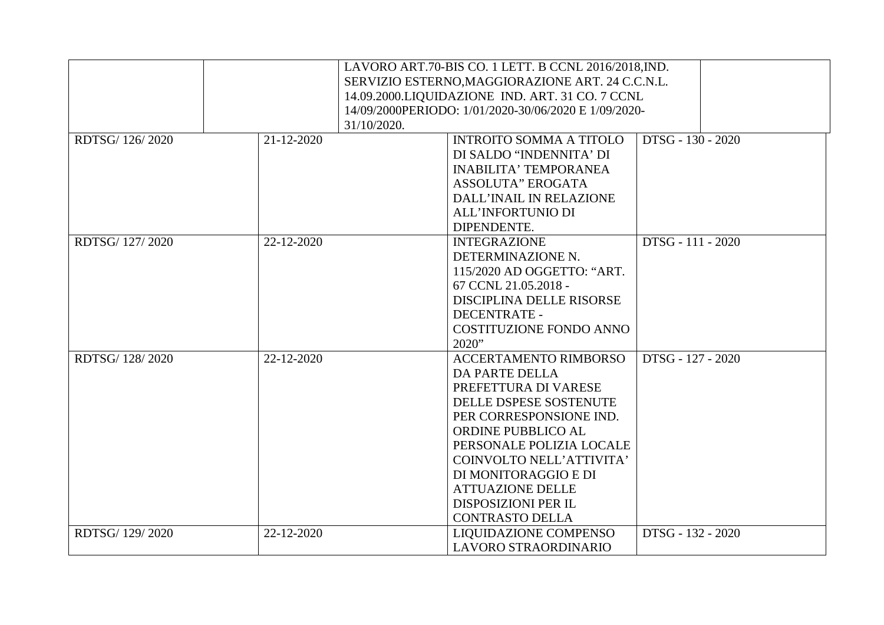|                 |             | LAVORO ART.70-BIS CO. 1 LETT. B CCNL 2016/2018, IND. |
|-----------------|-------------|------------------------------------------------------|
|                 |             | SERVIZIO ESTERNO, MAGGIORAZIONE ART. 24 C.C.N.L.     |
|                 |             | 14.09.2000.LIQUIDAZIONE IND. ART. 31 CO. 7 CCNL      |
|                 |             | 14/09/2000PERIODO: 1/01/2020-30/06/2020 E 1/09/2020- |
|                 | 31/10/2020. |                                                      |
| RDTSG/ 126/2020 | 21-12-2020  | DTSG - 130 - 2020<br><b>INTROITO SOMMA A TITOLO</b>  |
|                 |             | DI SALDO "INDENNITA' DI                              |
|                 |             | <b>INABILITA' TEMPORANEA</b>                         |
|                 |             | <b>ASSOLUTA" EROGATA</b>                             |
|                 |             | DALL'INAIL IN RELAZIONE                              |
|                 |             | <b>ALL'INFORTUNIO DI</b>                             |
|                 |             | DIPENDENTE.                                          |
| RDTSG/127/2020  | 22-12-2020  | DTSG - 111 - 2020<br><b>INTEGRAZIONE</b>             |
|                 |             | DETERMINAZIONE N.                                    |
|                 |             | 115/2020 AD OGGETTO: "ART.                           |
|                 |             | 67 CCNL 21.05.2018 -                                 |
|                 |             | DISCIPLINA DELLE RISORSE                             |
|                 |             | <b>DECENTRATE -</b>                                  |
|                 |             | <b>COSTITUZIONE FONDO ANNO</b>                       |
|                 |             | 2020"                                                |
| RDTSG/128/2020  | 22-12-2020  | <b>ACCERTAMENTO RIMBORSO</b><br>DTSG - 127 - 2020    |
|                 |             | <b>DA PARTE DELLA</b>                                |
|                 |             | PREFETTURA DI VARESE                                 |
|                 |             | DELLE DSPESE SOSTENUTE                               |
|                 |             | PER CORRESPONSIONE IND.                              |
|                 |             | ORDINE PUBBLICO AL                                   |
|                 |             | PERSONALE POLIZIA LOCALE                             |
|                 |             | COINVOLTO NELL'ATTIVITA'                             |
|                 |             | DI MONITORAGGIO E DI                                 |
|                 |             | <b>ATTUAZIONE DELLE</b>                              |
|                 |             | <b>DISPOSIZIONI PER IL</b>                           |
|                 |             | <b>CONTRASTO DELLA</b>                               |
| RDTSG/129/2020  | 22-12-2020  | LIQUIDAZIONE COMPENSO<br>DTSG - 132 - 2020           |
|                 |             | LAVORO STRAORDINARIO                                 |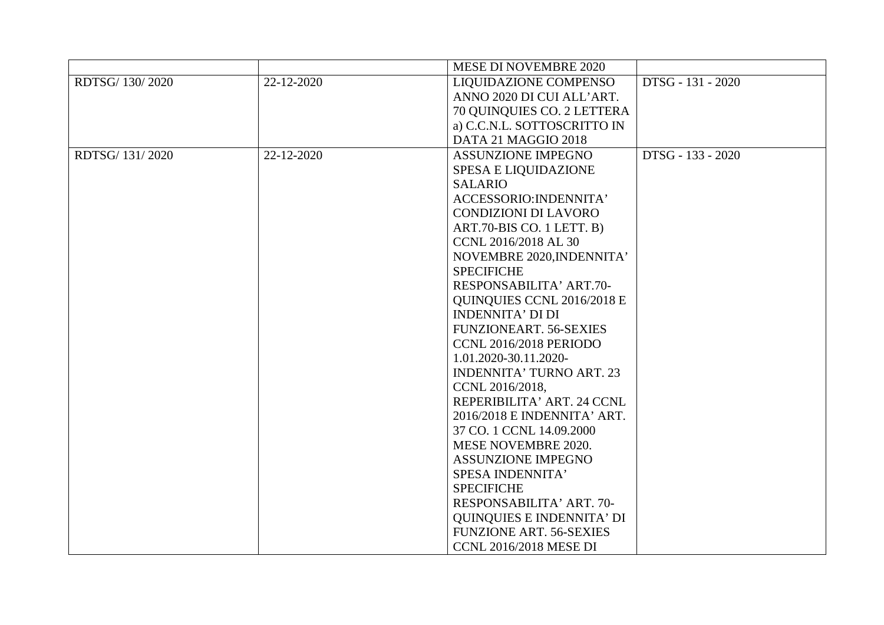|                 |            | <b>MESE DI NOVEMBRE 2020</b>     |                   |
|-----------------|------------|----------------------------------|-------------------|
| RDTSG/ 130/2020 | 22-12-2020 | <b>LIQUIDAZIONE COMPENSO</b>     | DTSG - 131 - 2020 |
|                 |            | ANNO 2020 DI CUI ALL'ART.        |                   |
|                 |            | 70 QUINQUIES CO. 2 LETTERA       |                   |
|                 |            | a) C.C.N.L. SOTTOSCRITTO IN      |                   |
|                 |            | DATA 21 MAGGIO 2018              |                   |
| RDTSG/ 131/2020 | 22-12-2020 | <b>ASSUNZIONE IMPEGNO</b>        | DTSG - 133 - 2020 |
|                 |            | <b>SPESA E LIQUIDAZIONE</b>      |                   |
|                 |            | <b>SALARIO</b>                   |                   |
|                 |            | ACCESSORIO: INDENNITA'           |                   |
|                 |            | <b>CONDIZIONI DI LAVORO</b>      |                   |
|                 |            | ART.70-BIS CO. 1 LETT. B)        |                   |
|                 |            | CCNL 2016/2018 AL 30             |                   |
|                 |            | NOVEMBRE 2020, INDENNITA'        |                   |
|                 |            | <b>SPECIFICHE</b>                |                   |
|                 |            | RESPONSABILITA' ART.70-          |                   |
|                 |            | QUINQUIES CCNL 2016/2018 E       |                   |
|                 |            | <b>INDENNITA' DI DI</b>          |                   |
|                 |            | <b>FUNZIONEART. 56-SEXIES</b>    |                   |
|                 |            | CCNL 2016/2018 PERIODO           |                   |
|                 |            | 1.01.2020-30.11.2020-            |                   |
|                 |            | <b>INDENNITA' TURNO ART. 23</b>  |                   |
|                 |            | CCNL 2016/2018,                  |                   |
|                 |            | REPERIBILITA' ART. 24 CCNL       |                   |
|                 |            | 2016/2018 E INDENNITA' ART.      |                   |
|                 |            | 37 CO. 1 CCNL 14.09.2000         |                   |
|                 |            | MESE NOVEMBRE 2020.              |                   |
|                 |            | <b>ASSUNZIONE IMPEGNO</b>        |                   |
|                 |            | SPESA INDENNITA'                 |                   |
|                 |            | <b>SPECIFICHE</b>                |                   |
|                 |            | RESPONSABILITA' ART. 70-         |                   |
|                 |            | <b>QUINQUIES E INDENNITA' DI</b> |                   |
|                 |            | <b>FUNZIONE ART. 56-SEXIES</b>   |                   |
|                 |            | <b>CCNL 2016/2018 MESE DI</b>    |                   |